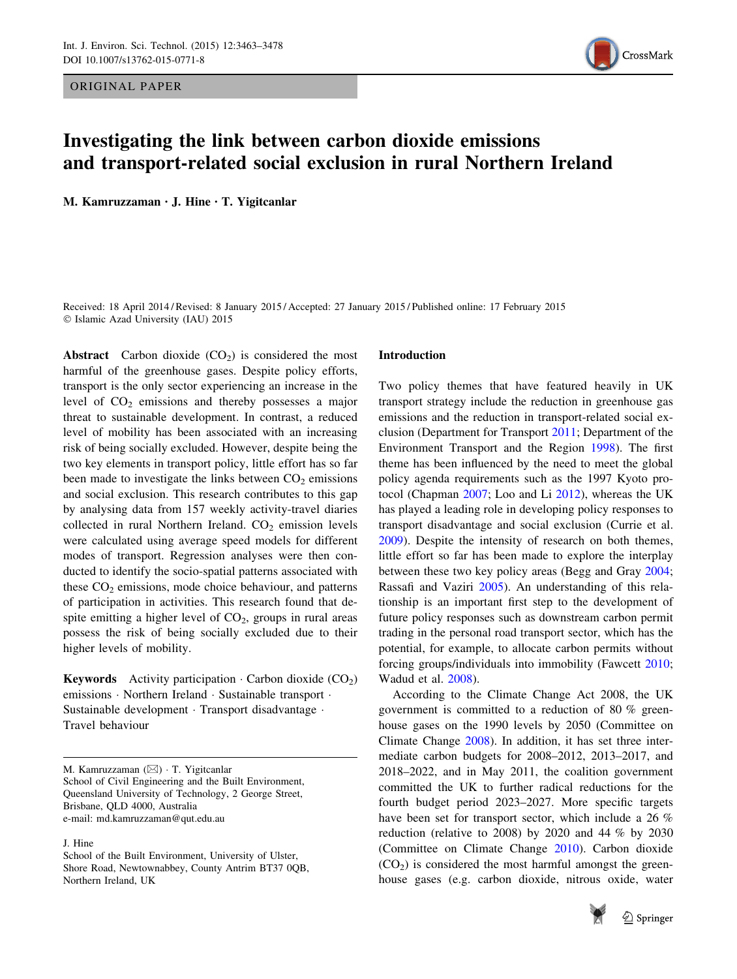ORIGINAL PAPER



# Investigating the link between carbon dioxide emissions and transport-related social exclusion in rural Northern Ireland

M. Kamruzzaman • J. Hine • T. Yigitcanlar

Received: 18 April 2014 / Revised: 8 January 2015 / Accepted: 27 January 2015 / Published online: 17 February 2015 - Islamic Azad University (IAU) 2015

**Abstract** Carbon dioxide  $(CO<sub>2</sub>)$  is considered the most harmful of the greenhouse gases. Despite policy efforts, transport is the only sector experiencing an increase in the level of  $CO<sub>2</sub>$  emissions and thereby possesses a major threat to sustainable development. In contrast, a reduced level of mobility has been associated with an increasing risk of being socially excluded. However, despite being the two key elements in transport policy, little effort has so far been made to investigate the links between  $CO<sub>2</sub>$  emissions and social exclusion. This research contributes to this gap by analysing data from 157 weekly activity-travel diaries collected in rural Northern Ireland.  $CO<sub>2</sub>$  emission levels were calculated using average speed models for different modes of transport. Regression analyses were then conducted to identify the socio-spatial patterns associated with these  $CO<sub>2</sub>$  emissions, mode choice behaviour, and patterns of participation in activities. This research found that despite emitting a higher level of  $CO<sub>2</sub>$ , groups in rural areas possess the risk of being socially excluded due to their higher levels of mobility.

**Keywords** Activity participation  $\cdot$  Carbon dioxide  $(CO_2)$ emissions · Northern Ireland · Sustainable transport · Sustainable development · Transport disadvantage · Travel behaviour

M. Kamruzzaman (&) - T. Yigitcanlar School of Civil Engineering and the Built Environment, Queensland University of Technology, 2 George Street, Brisbane, QLD 4000, Australia e-mail: md.kamruzzaman@qut.edu.au

## J. Hine

#### Introduction

Two policy themes that have featured heavily in UK transport strategy include the reduction in greenhouse gas emissions and the reduction in transport-related social exclusion (Department for Transport [2011](#page-13-0); Department of the Environment Transport and the Region [1998](#page-13-0)). The first theme has been influenced by the need to meet the global policy agenda requirements such as the 1997 Kyoto protocol (Chapman [2007](#page-13-0); Loo and Li [2012](#page-14-0)), whereas the UK has played a leading role in developing policy responses to transport disadvantage and social exclusion (Currie et al. [2009](#page-13-0)). Despite the intensity of research on both themes, little effort so far has been made to explore the interplay between these two key policy areas (Begg and Gray [2004](#page-12-0); Rassafi and Vaziri [2005](#page-14-0)). An understanding of this relationship is an important first step to the development of future policy responses such as downstream carbon permit trading in the personal road transport sector, which has the potential, for example, to allocate carbon permits without forcing groups/individuals into immobility (Fawcett [2010](#page-13-0); Wadud et al. [2008](#page-14-0)).

According to the Climate Change Act 2008, the UK government is committed to a reduction of 80 % greenhouse gases on the 1990 levels by 2050 (Committee on Climate Change [2008](#page-13-0)). In addition, it has set three intermediate carbon budgets for 2008–2012, 2013–2017, and 2018–2022, and in May 2011, the coalition government committed the UK to further radical reductions for the fourth budget period 2023–2027. More specific targets have been set for transport sector, which include a 26 % reduction (relative to 2008) by 2020 and 44 % by 2030 (Committee on Climate Change [2010](#page-13-0)). Carbon dioxide  $(CO<sub>2</sub>)$  is considered the most harmful amongst the greenhouse gases (e.g. carbon dioxide, nitrous oxide, water



School of the Built Environment, University of Ulster, Shore Road, Newtownabbey, County Antrim BT37 0QB, Northern Ireland, UK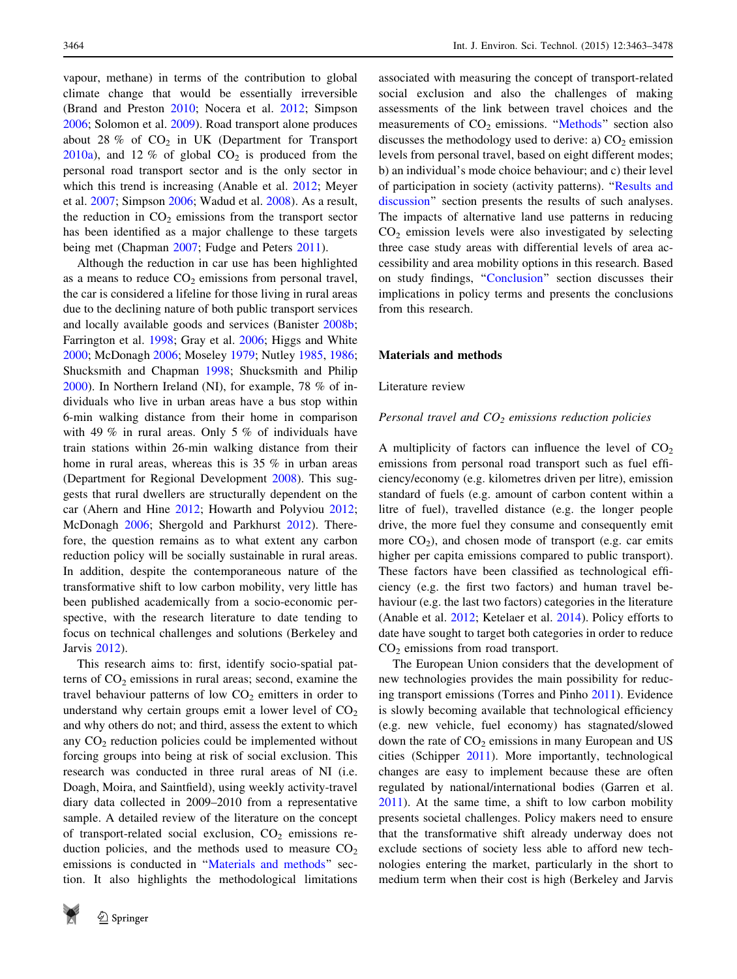vapour, methane) in terms of the contribution to global climate change that would be essentially irreversible (Brand and Preston [2010;](#page-13-0) Nocera et al. [2012](#page-14-0); Simpson [2006;](#page-14-0) Solomon et al. [2009\)](#page-14-0). Road transport alone produces about 28 % of  $CO<sub>2</sub>$  in UK (Department for Transport [2010a](#page-13-0)), and 12 % of global  $CO<sub>2</sub>$  is produced from the personal road transport sector and is the only sector in which this trend is increasing (Anable et al. [2012;](#page-12-0) Meyer et al. [2007](#page-14-0); Simpson [2006](#page-14-0); Wadud et al. [2008](#page-14-0)). As a result, the reduction in  $CO<sub>2</sub>$  emissions from the transport sector has been identified as a major challenge to these targets being met (Chapman [2007;](#page-13-0) Fudge and Peters [2011\)](#page-13-0).

Although the reduction in car use has been highlighted as a means to reduce  $CO<sub>2</sub>$  emissions from personal travel, the car is considered a lifeline for those living in rural areas due to the declining nature of both public transport services and locally available goods and services (Banister [2008b](#page-12-0); Farrington et al. [1998](#page-13-0); Gray et al. [2006;](#page-13-0) Higgs and White [2000;](#page-13-0) McDonagh [2006;](#page-14-0) Moseley [1979](#page-14-0); Nutley [1985](#page-14-0), [1986](#page-14-0); Shucksmith and Chapman [1998;](#page-14-0) Shucksmith and Philip [2000\)](#page-14-0). In Northern Ireland (NI), for example, 78 % of individuals who live in urban areas have a bus stop within 6-min walking distance from their home in comparison with 49 % in rural areas. Only 5 % of individuals have train stations within 26-min walking distance from their home in rural areas, whereas this is 35 % in urban areas (Department for Regional Development [2008](#page-13-0)). This suggests that rural dwellers are structurally dependent on the car (Ahern and Hine [2012;](#page-12-0) Howarth and Polyviou [2012](#page-14-0); McDonagh [2006;](#page-14-0) Shergold and Parkhurst [2012\)](#page-14-0). Therefore, the question remains as to what extent any carbon reduction policy will be socially sustainable in rural areas. In addition, despite the contemporaneous nature of the transformative shift to low carbon mobility, very little has been published academically from a socio-economic perspective, with the research literature to date tending to focus on technical challenges and solutions (Berkeley and Jarvis [2012\)](#page-12-0).

This research aims to: first, identify socio-spatial patterns of  $CO<sub>2</sub>$  emissions in rural areas; second, examine the travel behaviour patterns of low  $CO<sub>2</sub>$  emitters in order to understand why certain groups emit a lower level of  $CO<sub>2</sub>$ and why others do not; and third, assess the extent to which any  $CO<sub>2</sub>$  reduction policies could be implemented without forcing groups into being at risk of social exclusion. This research was conducted in three rural areas of NI (i.e. Doagh, Moira, and Saintfield), using weekly activity-travel diary data collected in 2009–2010 from a representative sample. A detailed review of the literature on the concept of transport-related social exclusion,  $CO<sub>2</sub>$  emissions reduction policies, and the methods used to measure  $CO<sub>2</sub>$ emissions is conducted in ''Materials and methods'' section. It also highlights the methodological limitations



associated with measuring the concept of transport-related social exclusion and also the challenges of making assessments of the link between travel choices and the measurements of  $CO<sub>2</sub>$  emissions. "Methods" section also discusses the methodology used to derive: a)  $CO<sub>2</sub>$  emission levels from personal travel, based on eight different modes; b) an individual's mode choice behaviour; and c) their level of participation in society (activity patterns). '['Results and](#page-8-0) [discussion'](#page-8-0)' section presents the results of such analyses. The impacts of alternative land use patterns in reducing  $CO<sub>2</sub>$  emission levels were also investigated by selecting three case study areas with differential levels of area accessibility and area mobility options in this research. Based on study findings, ''[Conclusion](#page-11-0)'' section discusses their implications in policy terms and presents the conclusions from this research.

#### Materials and methods

#### Literature review

## Personal travel and  $CO<sub>2</sub>$  emissions reduction policies

A multiplicity of factors can influence the level of  $CO<sub>2</sub>$ emissions from personal road transport such as fuel efficiency/economy (e.g. kilometres driven per litre), emission standard of fuels (e.g. amount of carbon content within a litre of fuel), travelled distance (e.g. the longer people drive, the more fuel they consume and consequently emit more  $CO<sub>2</sub>$ ), and chosen mode of transport (e.g. car emits higher per capita emissions compared to public transport). These factors have been classified as technological efficiency (e.g. the first two factors) and human travel behaviour (e.g. the last two factors) categories in the literature (Anable et al. [2012](#page-12-0); Ketelaer et al. [2014](#page-14-0)). Policy efforts to date have sought to target both categories in order to reduce  $CO<sub>2</sub>$  emissions from road transport.

The European Union considers that the development of new technologies provides the main possibility for reducing transport emissions (Torres and Pinho [2011](#page-14-0)). Evidence is slowly becoming available that technological efficiency (e.g. new vehicle, fuel economy) has stagnated/slowed down the rate of  $CO<sub>2</sub>$  emissions in many European and US cities (Schipper [2011](#page-14-0)). More importantly, technological changes are easy to implement because these are often regulated by national/international bodies (Garren et al. [2011](#page-13-0)). At the same time, a shift to low carbon mobility presents societal challenges. Policy makers need to ensure that the transformative shift already underway does not exclude sections of society less able to afford new technologies entering the market, particularly in the short to medium term when their cost is high (Berkeley and Jarvis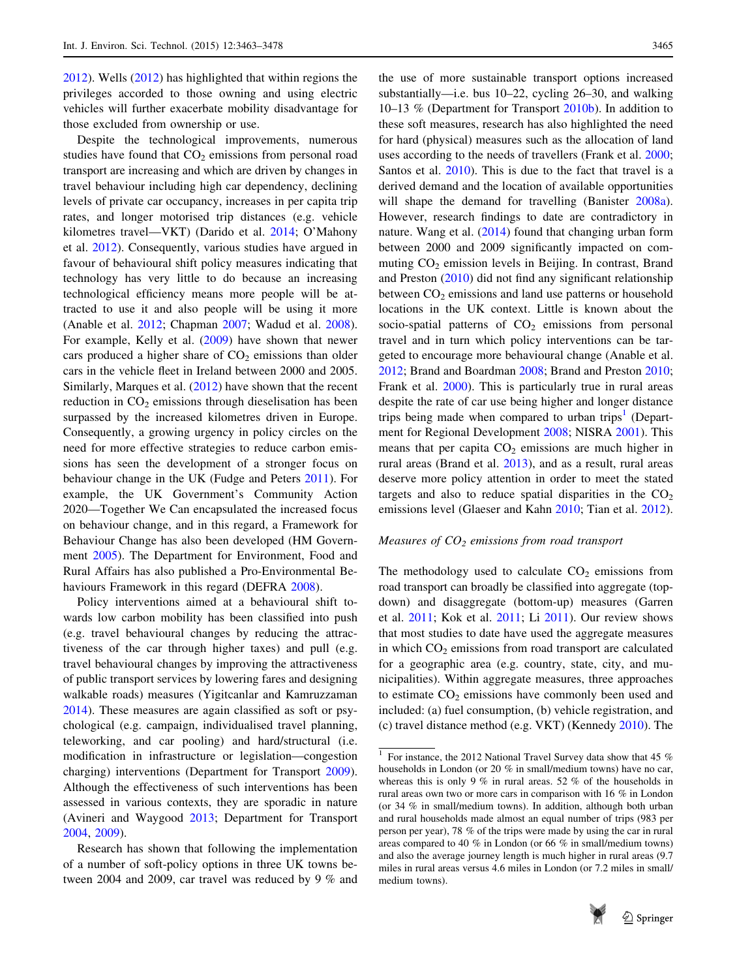[2012\)](#page-12-0). Wells ([2012\)](#page-15-0) has highlighted that within regions the privileges accorded to those owning and using electric vehicles will further exacerbate mobility disadvantage for those excluded from ownership or use.

Despite the technological improvements, numerous studies have found that  $CO<sub>2</sub>$  emissions from personal road transport are increasing and which are driven by changes in travel behaviour including high car dependency, declining levels of private car occupancy, increases in per capita trip rates, and longer motorised trip distances (e.g. vehicle kilometres travel—VKT) (Darido et al. [2014](#page-13-0); O'Mahony et al. [2012\)](#page-14-0). Consequently, various studies have argued in favour of behavioural shift policy measures indicating that technology has very little to do because an increasing technological efficiency means more people will be attracted to use it and also people will be using it more (Anable et al. [2012](#page-12-0); Chapman [2007;](#page-13-0) Wadud et al. [2008](#page-14-0)). For example, Kelly et al. ([2009\)](#page-14-0) have shown that newer cars produced a higher share of  $CO<sub>2</sub>$  emissions than older cars in the vehicle fleet in Ireland between 2000 and 2005. Similarly, Marques et al. [\(2012](#page-14-0)) have shown that the recent reduction in  $CO<sub>2</sub>$  emissions through dieselisation has been surpassed by the increased kilometres driven in Europe. Consequently, a growing urgency in policy circles on the need for more effective strategies to reduce carbon emissions has seen the development of a stronger focus on behaviour change in the UK (Fudge and Peters [2011](#page-13-0)). For example, the UK Government's Community Action 2020—Together We Can encapsulated the increased focus on behaviour change, and in this regard, a Framework for Behaviour Change has also been developed (HM Government [2005](#page-13-0)). The Department for Environment, Food and Rural Affairs has also published a Pro-Environmental Behaviours Framework in this regard (DEFRA [2008](#page-13-0)).

Policy interventions aimed at a behavioural shift towards low carbon mobility has been classified into push (e.g. travel behavioural changes by reducing the attractiveness of the car through higher taxes) and pull (e.g. travel behavioural changes by improving the attractiveness of public transport services by lowering fares and designing walkable roads) measures (Yigitcanlar and Kamruzzaman [2014\)](#page-15-0). These measures are again classified as soft or psychological (e.g. campaign, individualised travel planning, teleworking, and car pooling) and hard/structural (i.e. modification in infrastructure or legislation—congestion charging) interventions (Department for Transport [2009](#page-13-0)). Although the effectiveness of such interventions has been assessed in various contexts, they are sporadic in nature (Avineri and Waygood [2013](#page-12-0); Department for Transport [2004,](#page-13-0) [2009\)](#page-13-0).

Research has shown that following the implementation of a number of soft-policy options in three UK towns between 2004 and 2009, car travel was reduced by 9 % and

the use of more sustainable transport options increased substantially—i.e. bus 10–22, cycling 26–30, and walking 10–13 % (Department for Transport [2010b\)](#page-13-0). In addition to these soft measures, research has also highlighted the need for hard (physical) measures such as the allocation of land uses according to the needs of travellers (Frank et al. [2000](#page-13-0); Santos et al. [2010](#page-14-0)). This is due to the fact that travel is a derived demand and the location of available opportunities will shape the demand for travelling (Banister [2008a](#page-12-0)). However, research findings to date are contradictory in nature. Wang et al. [\(2014](#page-14-0)) found that changing urban form between 2000 and 2009 significantly impacted on commuting  $CO<sub>2</sub>$  emission levels in Beijing. In contrast, Brand and Preston [\(2010](#page-13-0)) did not find any significant relationship between  $CO<sub>2</sub>$  emissions and land use patterns or household locations in the UK context. Little is known about the socio-spatial patterns of  $CO<sub>2</sub>$  emissions from personal travel and in turn which policy interventions can be targeted to encourage more behavioural change (Anable et al. [2012](#page-12-0); Brand and Boardman [2008;](#page-13-0) Brand and Preston [2010](#page-13-0); Frank et al. [2000\)](#page-13-0). This is particularly true in rural areas despite the rate of car use being higher and longer distance trips being made when compared to urban trips<sup>1</sup> (Department for Regional Development [2008](#page-13-0); NISRA [2001\)](#page-14-0). This means that per capita  $CO<sub>2</sub>$  emissions are much higher in rural areas (Brand et al. [2013](#page-13-0)), and as a result, rural areas deserve more policy attention in order to meet the stated targets and also to reduce spatial disparities in the  $CO<sub>2</sub>$ emissions level (Glaeser and Kahn [2010](#page-13-0); Tian et al. [2012](#page-14-0)).

#### Measures of  $CO<sub>2</sub>$  emissions from road transport

The methodology used to calculate  $CO<sub>2</sub>$  emissions from road transport can broadly be classified into aggregate (topdown) and disaggregate (bottom-up) measures (Garren et al. [2011](#page-13-0); Kok et al. [2011](#page-14-0); Li [2011](#page-14-0)). Our review shows that most studies to date have used the aggregate measures in which  $CO<sub>2</sub>$  emissions from road transport are calculated for a geographic area (e.g. country, state, city, and municipalities). Within aggregate measures, three approaches to estimate  $CO<sub>2</sub>$  emissions have commonly been used and included: (a) fuel consumption, (b) vehicle registration, and (c) travel distance method (e.g. VKT) (Kennedy [2010](#page-14-0)). The

 $^1\,$  For instance, the 2012 National Travel Survey data show that 45  $\%$ households in London (or 20 % in small/medium towns) have no car, whereas this is only 9 % in rural areas. 52 % of the households in rural areas own two or more cars in comparison with 16 % in London (or 34 % in small/medium towns). In addition, although both urban and rural households made almost an equal number of trips (983 per person per year), 78 % of the trips were made by using the car in rural areas compared to 40 % in London (or 66 % in small/medium towns) and also the average journey length is much higher in rural areas (9.7 miles in rural areas versus 4.6 miles in London (or 7.2 miles in small/ medium towns).

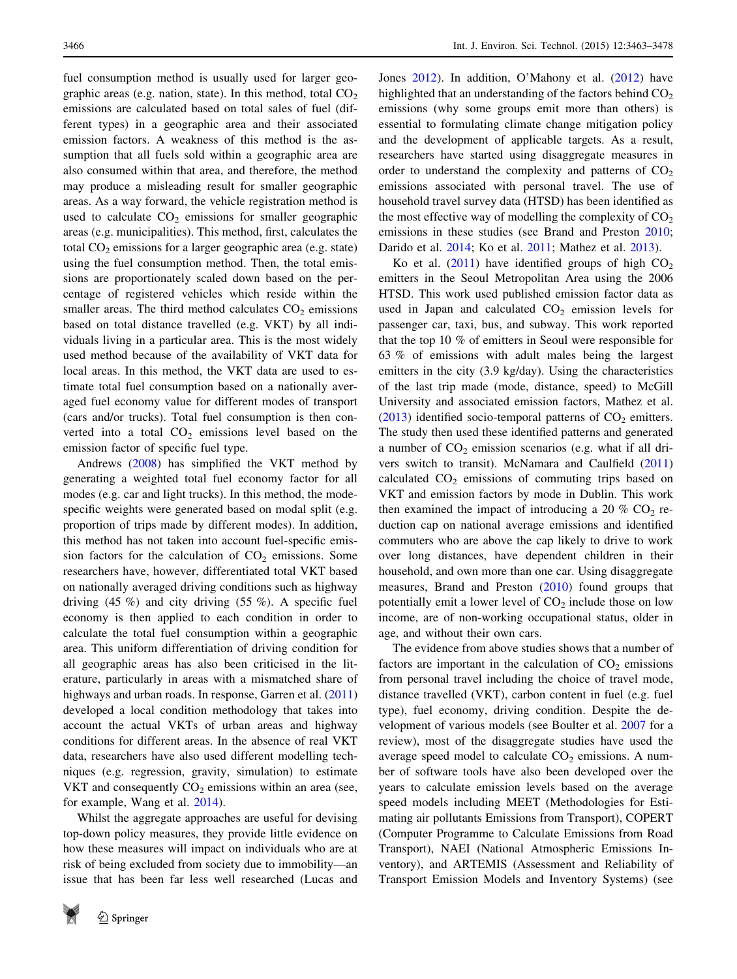fuel consumption method is usually used for larger geographic areas (e.g. nation, state). In this method, total  $CO<sub>2</sub>$ emissions are calculated based on total sales of fuel (different types) in a geographic area and their associated emission factors. A weakness of this method is the assumption that all fuels sold within a geographic area are also consumed within that area, and therefore, the method may produce a misleading result for smaller geographic areas. As a way forward, the vehicle registration method is used to calculate  $CO<sub>2</sub>$  emissions for smaller geographic areas (e.g. municipalities). This method, first, calculates the total  $CO<sub>2</sub>$  emissions for a larger geographic area (e.g. state) using the fuel consumption method. Then, the total emissions are proportionately scaled down based on the percentage of registered vehicles which reside within the smaller areas. The third method calculates  $CO<sub>2</sub>$  emissions based on total distance travelled (e.g. VKT) by all individuals living in a particular area. This is the most widely used method because of the availability of VKT data for local areas. In this method, the VKT data are used to estimate total fuel consumption based on a nationally averaged fuel economy value for different modes of transport (cars and/or trucks). Total fuel consumption is then converted into a total  $CO<sub>2</sub>$  emissions level based on the emission factor of specific fuel type.

Andrews [\(2008](#page-12-0)) has simplified the VKT method by generating a weighted total fuel economy factor for all modes (e.g. car and light trucks). In this method, the modespecific weights were generated based on modal split (e.g. proportion of trips made by different modes). In addition, this method has not taken into account fuel-specific emission factors for the calculation of  $CO<sub>2</sub>$  emissions. Some researchers have, however, differentiated total VKT based on nationally averaged driving conditions such as highway driving  $(45 \%)$  and city driving  $(55 \%)$ . A specific fuel economy is then applied to each condition in order to calculate the total fuel consumption within a geographic area. This uniform differentiation of driving condition for all geographic areas has also been criticised in the literature, particularly in areas with a mismatched share of highways and urban roads. In response, Garren et al. ([2011\)](#page-13-0) developed a local condition methodology that takes into account the actual VKTs of urban areas and highway conditions for different areas. In the absence of real VKT data, researchers have also used different modelling techniques (e.g. regression, gravity, simulation) to estimate VKT and consequently  $CO<sub>2</sub>$  emissions within an area (see, for example, Wang et al. [2014\)](#page-14-0).

Whilst the aggregate approaches are useful for devising top-down policy measures, they provide little evidence on how these measures will impact on individuals who are at risk of being excluded from society due to immobility—an issue that has been far less well researched (Lucas and



Jones [2012](#page-14-0)). In addition, O'Mahony et al. ([2012\)](#page-14-0) have highlighted that an understanding of the factors behind  $CO<sub>2</sub>$ emissions (why some groups emit more than others) is essential to formulating climate change mitigation policy and the development of applicable targets. As a result, researchers have started using disaggregate measures in order to understand the complexity and patterns of  $CO<sub>2</sub>$ emissions associated with personal travel. The use of household travel survey data (HTSD) has been identified as the most effective way of modelling the complexity of  $CO<sub>2</sub>$ emissions in these studies (see Brand and Preston [2010](#page-13-0); Darido et al. [2014;](#page-13-0) Ko et al. [2011](#page-14-0); Mathez et al. [2013](#page-14-0)).

Ko et al.  $(2011)$  $(2011)$  have identified groups of high  $CO<sub>2</sub>$ emitters in the Seoul Metropolitan Area using the 2006 HTSD. This work used published emission factor data as used in Japan and calculated  $CO<sub>2</sub>$  emission levels for passenger car, taxi, bus, and subway. This work reported that the top 10 % of emitters in Seoul were responsible for 63 % of emissions with adult males being the largest emitters in the city (3.9 kg/day). Using the characteristics of the last trip made (mode, distance, speed) to McGill University and associated emission factors, Mathez et al. [\(2013](#page-14-0)) identified socio-temporal patterns of  $CO<sub>2</sub>$  emitters. The study then used these identified patterns and generated a number of  $CO<sub>2</sub>$  emission scenarios (e.g. what if all drivers switch to transit). McNamara and Caulfield ([2011\)](#page-14-0) calculated  $CO<sub>2</sub>$  emissions of commuting trips based on VKT and emission factors by mode in Dublin. This work then examined the impact of introducing a 20 %  $CO<sub>2</sub>$  reduction cap on national average emissions and identified commuters who are above the cap likely to drive to work over long distances, have dependent children in their household, and own more than one car. Using disaggregate measures, Brand and Preston [\(2010](#page-13-0)) found groups that potentially emit a lower level of  $CO<sub>2</sub>$  include those on low income, are of non-working occupational status, older in age, and without their own cars.

The evidence from above studies shows that a number of factors are important in the calculation of  $CO<sub>2</sub>$  emissions from personal travel including the choice of travel mode, distance travelled (VKT), carbon content in fuel (e.g. fuel type), fuel economy, driving condition. Despite the development of various models (see Boulter et al. [2007](#page-12-0) for a review), most of the disaggregate studies have used the average speed model to calculate  $CO<sub>2</sub>$  emissions. A number of software tools have also been developed over the years to calculate emission levels based on the average speed models including MEET (Methodologies for Estimating air pollutants Emissions from Transport), COPERT (Computer Programme to Calculate Emissions from Road Transport), NAEI (National Atmospheric Emissions Inventory), and ARTEMIS (Assessment and Reliability of Transport Emission Models and Inventory Systems) (see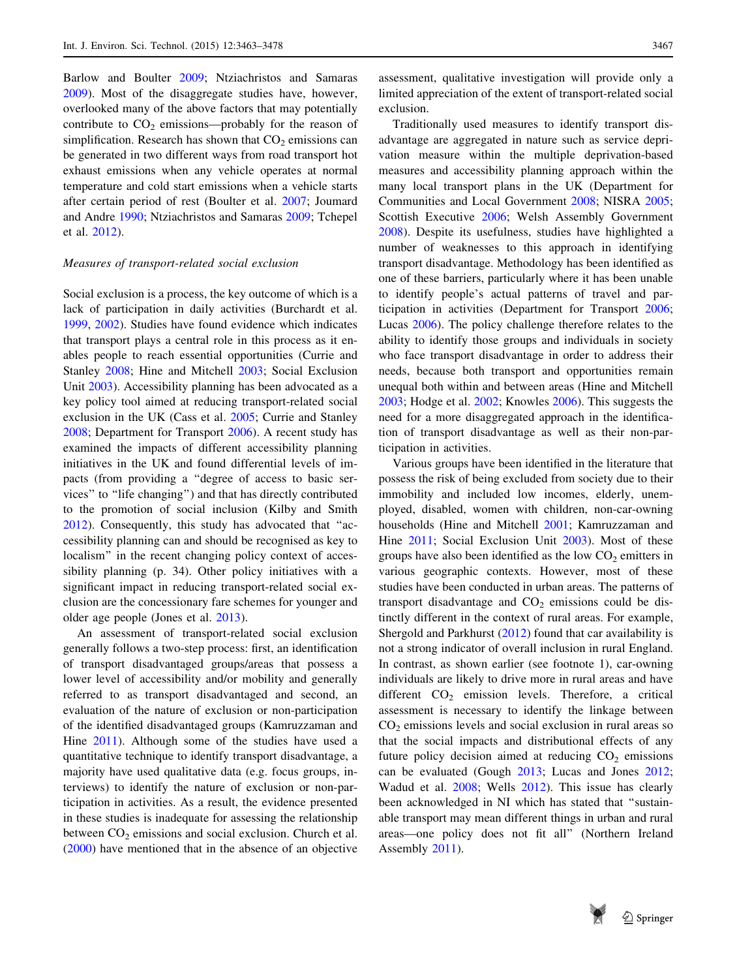Barlow and Boulter [2009](#page-12-0); Ntziachristos and Samaras [2009\)](#page-14-0). Most of the disaggregate studies have, however, overlooked many of the above factors that may potentially contribute to  $CO<sub>2</sub>$  emissions—probably for the reason of simplification. Research has shown that  $CO<sub>2</sub>$  emissions can be generated in two different ways from road transport hot exhaust emissions when any vehicle operates at normal temperature and cold start emissions when a vehicle starts after certain period of rest (Boulter et al. [2007;](#page-12-0) Joumard and Andre [1990;](#page-14-0) Ntziachristos and Samaras [2009](#page-14-0); Tchepel et al. [2012\)](#page-14-0).

#### Measures of transport-related social exclusion

Social exclusion is a process, the key outcome of which is a lack of participation in daily activities (Burchardt et al. [1999,](#page-13-0) [2002\)](#page-13-0). Studies have found evidence which indicates that transport plays a central role in this process as it enables people to reach essential opportunities (Currie and Stanley [2008](#page-13-0); Hine and Mitchell [2003;](#page-13-0) Social Exclusion Unit [2003](#page-14-0)). Accessibility planning has been advocated as a key policy tool aimed at reducing transport-related social exclusion in the UK (Cass et al. [2005](#page-13-0); Currie and Stanley [2008;](#page-13-0) Department for Transport [2006](#page-13-0)). A recent study has examined the impacts of different accessibility planning initiatives in the UK and found differential levels of impacts (from providing a ''degree of access to basic services'' to ''life changing'') and that has directly contributed to the promotion of social inclusion (Kilby and Smith [2012\)](#page-14-0). Consequently, this study has advocated that ''accessibility planning can and should be recognised as key to localism'' in the recent changing policy context of accessibility planning (p. 34). Other policy initiatives with a significant impact in reducing transport-related social exclusion are the concessionary fare schemes for younger and older age people (Jones et al. [2013\)](#page-14-0).

An assessment of transport-related social exclusion generally follows a two-step process: first, an identification of transport disadvantaged groups/areas that possess a lower level of accessibility and/or mobility and generally referred to as transport disadvantaged and second, an evaluation of the nature of exclusion or non-participation of the identified disadvantaged groups (Kamruzzaman and Hine [2011](#page-14-0)). Although some of the studies have used a quantitative technique to identify transport disadvantage, a majority have used qualitative data (e.g. focus groups, interviews) to identify the nature of exclusion or non-participation in activities. As a result, the evidence presented in these studies is inadequate for assessing the relationship between  $CO<sub>2</sub>$  emissions and social exclusion. Church et al. [\(2000](#page-13-0)) have mentioned that in the absence of an objective

assessment, qualitative investigation will provide only a limited appreciation of the extent of transport-related social exclusion.

Traditionally used measures to identify transport disadvantage are aggregated in nature such as service deprivation measure within the multiple deprivation-based measures and accessibility planning approach within the many local transport plans in the UK (Department for Communities and Local Government [2008;](#page-13-0) NISRA [2005](#page-14-0); Scottish Executive [2006](#page-14-0); Welsh Assembly Government [2008](#page-15-0)). Despite its usefulness, studies have highlighted a number of weaknesses to this approach in identifying transport disadvantage. Methodology has been identified as one of these barriers, particularly where it has been unable to identify people's actual patterns of travel and participation in activities (Department for Transport [2006](#page-13-0); Lucas [2006](#page-14-0)). The policy challenge therefore relates to the ability to identify those groups and individuals in society who face transport disadvantage in order to address their needs, because both transport and opportunities remain unequal both within and between areas (Hine and Mitchell [2003](#page-13-0); Hodge et al. [2002](#page-13-0); Knowles [2006\)](#page-14-0). This suggests the need for a more disaggregated approach in the identification of transport disadvantage as well as their non-participation in activities.

Various groups have been identified in the literature that possess the risk of being excluded from society due to their immobility and included low incomes, elderly, unemployed, disabled, women with children, non-car-owning households (Hine and Mitchell [2001;](#page-13-0) Kamruzzaman and Hine [2011](#page-14-0); Social Exclusion Unit [2003\)](#page-14-0). Most of these groups have also been identified as the low  $CO<sub>2</sub>$  emitters in various geographic contexts. However, most of these studies have been conducted in urban areas. The patterns of transport disadvantage and  $CO<sub>2</sub>$  emissions could be distinctly different in the context of rural areas. For example, Shergold and Parkhurst ([2012\)](#page-14-0) found that car availability is not a strong indicator of overall inclusion in rural England. In contrast, as shown earlier (see footnote 1), car-owning individuals are likely to drive more in rural areas and have different  $CO<sub>2</sub>$  emission levels. Therefore, a critical assessment is necessary to identify the linkage between  $CO<sub>2</sub>$  emissions levels and social exclusion in rural areas so that the social impacts and distributional effects of any future policy decision aimed at reducing  $CO<sub>2</sub>$  emissions can be evaluated (Gough [2013](#page-13-0); Lucas and Jones [2012](#page-14-0); Wadud et al. [2008](#page-14-0); Wells [2012](#page-15-0)). This issue has clearly been acknowledged in NI which has stated that ''sustainable transport may mean different things in urban and rural areas—one policy does not fit all'' (Northern Ireland Assembly [2011](#page-14-0)).

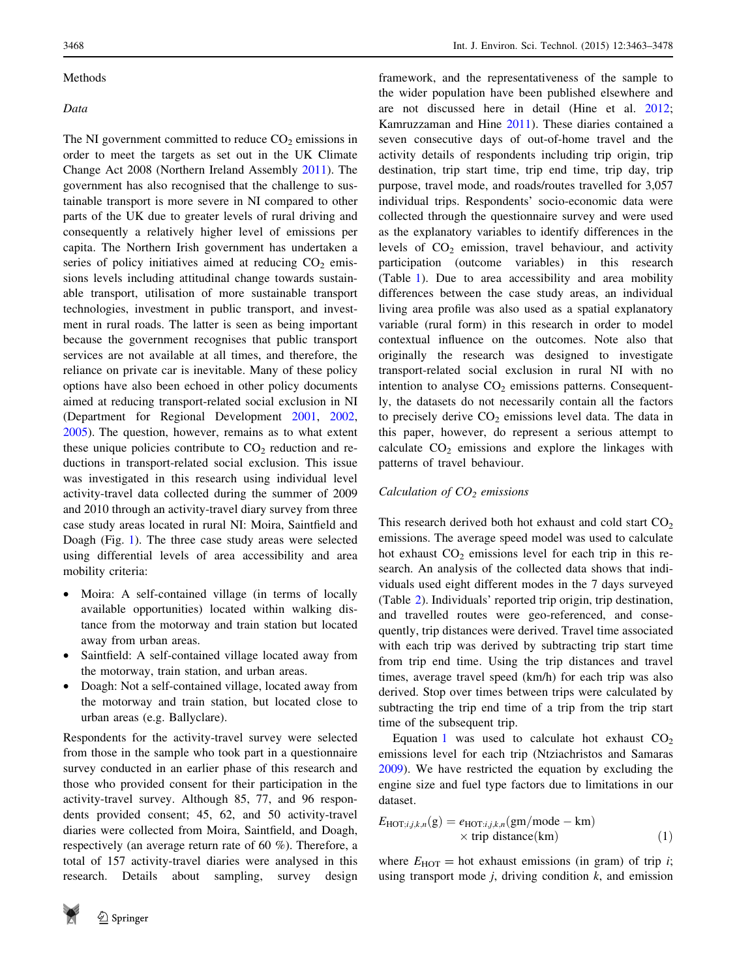#### <span id="page-5-0"></span>Methods

#### **Data**

The NI government committed to reduce  $CO<sub>2</sub>$  emissions in order to meet the targets as set out in the UK Climate Change Act 2008 (Northern Ireland Assembly [2011](#page-14-0)). The government has also recognised that the challenge to sustainable transport is more severe in NI compared to other parts of the UK due to greater levels of rural driving and consequently a relatively higher level of emissions per capita. The Northern Irish government has undertaken a series of policy initiatives aimed at reducing  $CO<sub>2</sub>$  emissions levels including attitudinal change towards sustainable transport, utilisation of more sustainable transport technologies, investment in public transport, and investment in rural roads. The latter is seen as being important because the government recognises that public transport services are not available at all times, and therefore, the reliance on private car is inevitable. Many of these policy options have also been echoed in other policy documents aimed at reducing transport-related social exclusion in NI (Department for Regional Development [2001](#page-13-0), [2002,](#page-13-0) [2005\)](#page-13-0). The question, however, remains as to what extent these unique policies contribute to  $CO<sub>2</sub>$  reduction and reductions in transport-related social exclusion. This issue was investigated in this research using individual level activity-travel data collected during the summer of 2009 and 2010 through an activity-travel diary survey from three case study areas located in rural NI: Moira, Saintfield and Doagh (Fig. [1\)](#page-6-0). The three case study areas were selected

• Moira: A self-contained village (in terms of locally available opportunities) located within walking distance from the motorway and train station but located away from urban areas.

using differential levels of area accessibility and area

- Saintfield: A self-contained village located away from the motorway, train station, and urban areas.
- Doagh: Not a self-contained village, located away from the motorway and train station, but located close to urban areas (e.g. Ballyclare).

Respondents for the activity-travel survey were selected from those in the sample who took part in a questionnaire survey conducted in an earlier phase of this research and those who provided consent for their participation in the activity-travel survey. Although 85, 77, and 96 respondents provided consent; 45, 62, and 50 activity-travel diaries were collected from Moira, Saintfield, and Doagh, respectively (an average return rate of 60 %). Therefore, a total of 157 activity-travel diaries were analysed in this research. Details about sampling, survey design



mobility criteria:

framework, and the representativeness of the sample to the wider population have been published elsewhere and are not discussed here in detail (Hine et al. [2012](#page-13-0); Kamruzzaman and Hine [2011\)](#page-14-0). These diaries contained a seven consecutive days of out-of-home travel and the activity details of respondents including trip origin, trip destination, trip start time, trip end time, trip day, trip purpose, travel mode, and roads/routes travelled for 3,057 individual trips. Respondents' socio-economic data were collected through the questionnaire survey and were used as the explanatory variables to identify differences in the levels of  $CO<sub>2</sub>$  emission, travel behaviour, and activity participation (outcome variables) in this research (Table [1\)](#page-7-0). Due to area accessibility and area mobility differences between the case study areas, an individual living area profile was also used as a spatial explanatory variable (rural form) in this research in order to model contextual influence on the outcomes. Note also that originally the research was designed to investigate transport-related social exclusion in rural NI with no intention to analyse  $CO<sub>2</sub>$  emissions patterns. Consequently, the datasets do not necessarily contain all the factors to precisely derive  $CO<sub>2</sub>$  emissions level data. The data in this paper, however, do represent a serious attempt to calculate  $CO<sub>2</sub>$  emissions and explore the linkages with patterns of travel behaviour.

### Calculation of  $CO<sub>2</sub>$  emissions

This research derived both hot exhaust and cold start  $CO<sub>2</sub>$ emissions. The average speed model was used to calculate hot exhaust  $CO<sub>2</sub>$  emissions level for each trip in this research. An analysis of the collected data shows that individuals used eight different modes in the 7 days surveyed (Table [2\)](#page-7-0). Individuals' reported trip origin, trip destination, and travelled routes were geo-referenced, and consequently, trip distances were derived. Travel time associated with each trip was derived by subtracting trip start time from trip end time. Using the trip distances and travel times, average travel speed (km/h) for each trip was also derived. Stop over times between trips were calculated by subtracting the trip end time of a trip from the trip start time of the subsequent trip.

Equation 1 was used to calculate hot exhaust  $CO<sub>2</sub>$ emissions level for each trip (Ntziachristos and Samaras [2009](#page-14-0)). We have restricted the equation by excluding the engine size and fuel type factors due to limitations in our dataset.

$$
E_{\text{HOT}; i,j,k,n}(\text{g}) = e_{\text{HOT}: i,j,k,n}(\text{gm}/\text{mode} - \text{km})
$$
  
× trip distance(km) (1)

where  $E_{\text{HOT}}$  = hot exhaust emissions (in gram) of trip *i*; using transport mode  $j$ , driving condition  $k$ , and emission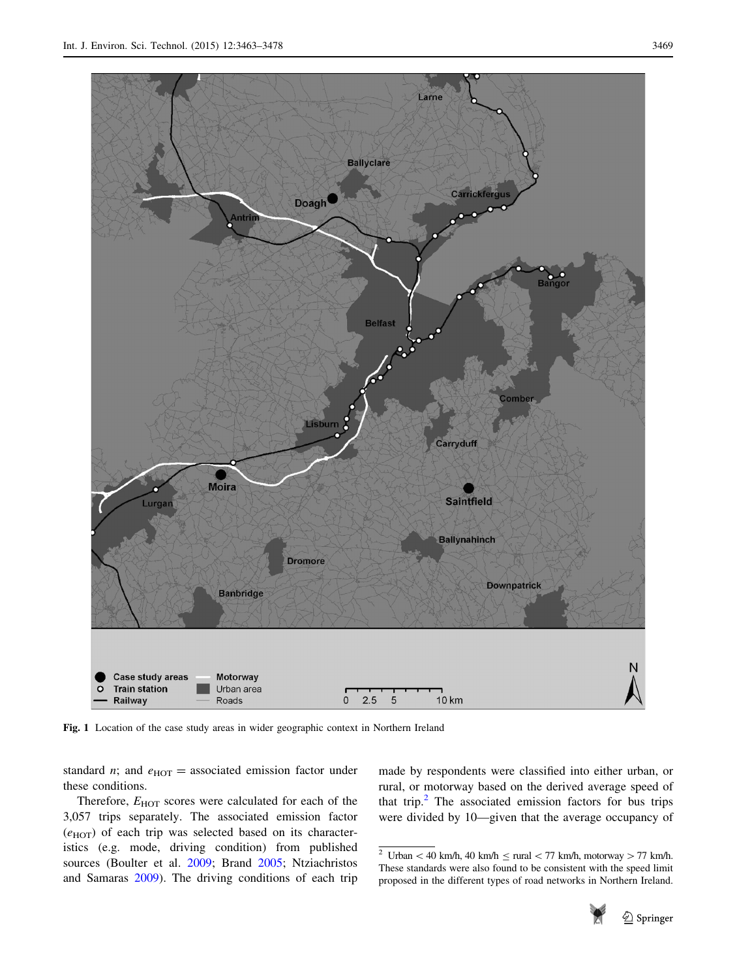<span id="page-6-0"></span>

Fig. 1 Location of the case study areas in wider geographic context in Northern Ireland

standard *n*; and  $e_{\text{HOT}}$  = associated emission factor under these conditions.

Therefore,  $E_{\text{HOT}}$  scores were calculated for each of the 3,057 trips separately. The associated emission factor  $(e<sub>HOT</sub>)$  of each trip was selected based on its characteristics (e.g. mode, driving condition) from published sources (Boulter et al. [2009](#page-13-0); Brand [2005;](#page-13-0) Ntziachristos and Samaras [2009\)](#page-14-0). The driving conditions of each trip made by respondents were classified into either urban, or rural, or motorway based on the derived average speed of that trip. $^2$  The associated emission factors for bus trips were divided by 10—given that the average occupancy of

<sup>&</sup>lt;sup>2</sup> Urban < 40 km/h, 40 km/h  $\leq$  rural < 77 km/h, motorway > 77 km/h. These standards were also found to be consistent with the speed limit proposed in the different types of road networks in Northern Ireland.

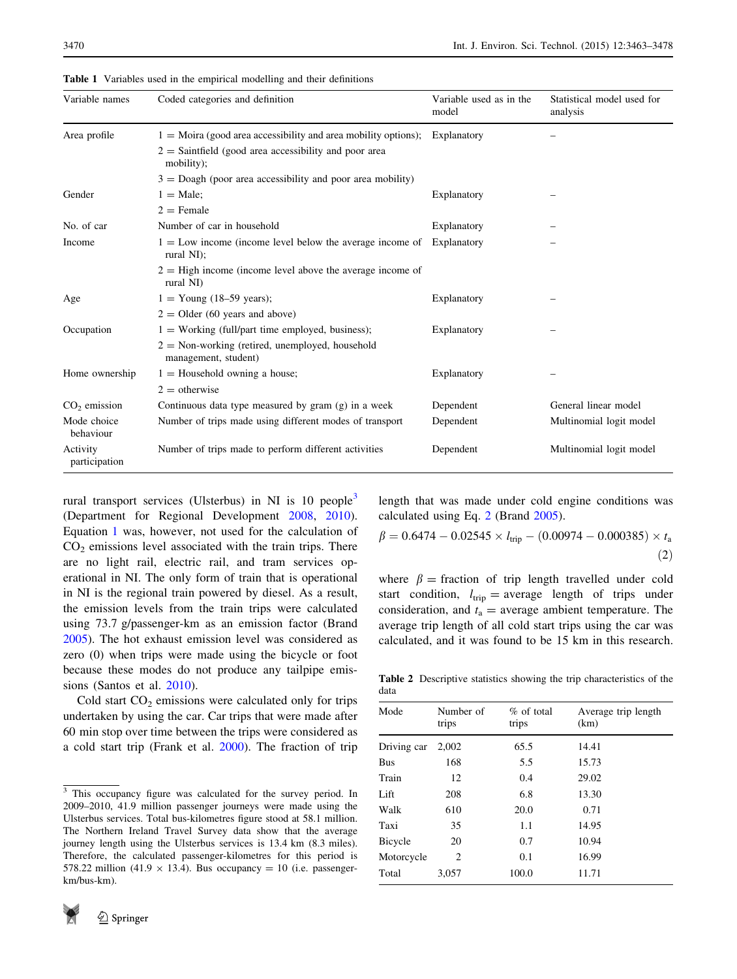| Variable names            | Coded categories and definition                                                                                                           | Variable used as in the<br>model | Statistical model used for<br>analysis |
|---------------------------|-------------------------------------------------------------------------------------------------------------------------------------------|----------------------------------|----------------------------------------|
| Area profile              | $1 =$ Moira (good area accessibility and area mobility options);<br>$2 =$ Saintfield (good area accessibility and poor area<br>mobility); | Explanatory                      |                                        |
|                           | $3 =$ Doagh (poor area accessibility and poor area mobility)                                                                              |                                  |                                        |
| Gender                    | $1 = Male$ ;                                                                                                                              | Explanatory                      |                                        |
|                           | $2 =$ Female                                                                                                                              |                                  |                                        |
| No. of car                | Number of car in household                                                                                                                | Explanatory                      |                                        |
| Income                    | $1 =$ Low income (income level below the average income of<br>rural NI);                                                                  | Explanatory                      |                                        |
|                           | $2 =$ High income (income level above the average income of<br>rural NI)                                                                  |                                  |                                        |
| Age                       | $1 =$ Young (18–59 years);                                                                                                                | Explanatory                      |                                        |
|                           | $2 =$ Older (60 years and above)                                                                                                          |                                  |                                        |
| Occupation                | $1 =$ Working (full/part time employed, business);                                                                                        | Explanatory                      |                                        |
|                           | $2 =$ Non-working (retired, unemployed, household<br>management, student)                                                                 |                                  |                                        |
| Home ownership            | $1 =$ Household owning a house;                                                                                                           | Explanatory                      |                                        |
|                           | $2 =$ otherwise                                                                                                                           |                                  |                                        |
| $CO2$ emission            | Continuous data type measured by gram (g) in a week                                                                                       | Dependent                        | General linear model                   |
| Mode choice<br>behaviour  | Number of trips made using different modes of transport                                                                                   | Dependent                        | Multinomial logit model                |
| Activity<br>participation | Number of trips made to perform different activities                                                                                      | Dependent                        | Multinomial logit model                |

<span id="page-7-0"></span>Table 1 Variables used in the empirical modelling and their definitions

rural transport services (Ulsterbus) in NI is 10 people<sup>3</sup> (Department for Regional Development [2008](#page-13-0), [2010](#page-13-0)). Equation [1](#page-5-0) was, however, not used for the calculation of  $CO<sub>2</sub>$  emissions level associated with the train trips. There are no light rail, electric rail, and tram services operational in NI. The only form of train that is operational in NI is the regional train powered by diesel. As a result, the emission levels from the train trips were calculated using 73.7 g/passenger-km as an emission factor (Brand [2005\)](#page-13-0). The hot exhaust emission level was considered as zero (0) when trips were made using the bicycle or foot because these modes do not produce any tailpipe emissions (Santos et al. [2010](#page-14-0)).

Cold start  $CO<sub>2</sub>$  emissions were calculated only for trips undertaken by using the car. Car trips that were made after 60 min stop over time between the trips were considered as a cold start trip (Frank et al. [2000](#page-13-0)). The fraction of trip

<sup>&</sup>lt;sup>3</sup> This occupancy figure was calculated for the survey period. In 2009–2010, 41.9 million passenger journeys were made using the Ulsterbus services. Total bus-kilometres figure stood at 58.1 million. The Northern Ireland Travel Survey data show that the average journey length using the Ulsterbus services is 13.4 km (8.3 miles). Therefore, the calculated passenger-kilometres for this period is 578.22 million (41.9  $\times$  13.4). Bus occupancy = 10 (i.e. passengerkm/bus-km).



length that was made under cold engine conditions was calculated using Eq. 2 (Brand [2005](#page-13-0)).

$$
\beta = 0.6474 - 0.02545 \times l_{\text{trip}} - (0.00974 - 0.000385) \times t_a
$$
\n(2)

where  $\beta$  = fraction of trip length travelled under cold start condition,  $l_{\text{trip}}$  = average length of trips under consideration, and  $t_a$  = average ambient temperature. The average trip length of all cold start trips using the car was calculated, and it was found to be 15 km in this research.

Table 2 Descriptive statistics showing the trip characteristics of the data

| uuu         |                    |                        |                             |  |  |  |  |
|-------------|--------------------|------------------------|-----------------------------|--|--|--|--|
| Mode        | Number of<br>trips | $\%$ of total<br>trips | Average trip length<br>(km) |  |  |  |  |
| Driving car | 2,002              | 65.5                   | 14.41                       |  |  |  |  |
| Bus         | 168                | 5.5                    | 15.73                       |  |  |  |  |
| Train       | 12                 | 0.4                    | 29.02                       |  |  |  |  |
| Lift        | 208                | 6.8                    | 13.30                       |  |  |  |  |
| Walk        | 610                | 20.0                   | 0.71                        |  |  |  |  |
| Taxi        | 35                 | 1.1                    | 14.95                       |  |  |  |  |
| Bicycle     | 20                 | 0.7                    | 10.94                       |  |  |  |  |
| Motorcycle  | $\overline{c}$     | 0.1                    | 16.99                       |  |  |  |  |
| Total       | 3,057              | 100.0                  | 11.71                       |  |  |  |  |
|             |                    |                        |                             |  |  |  |  |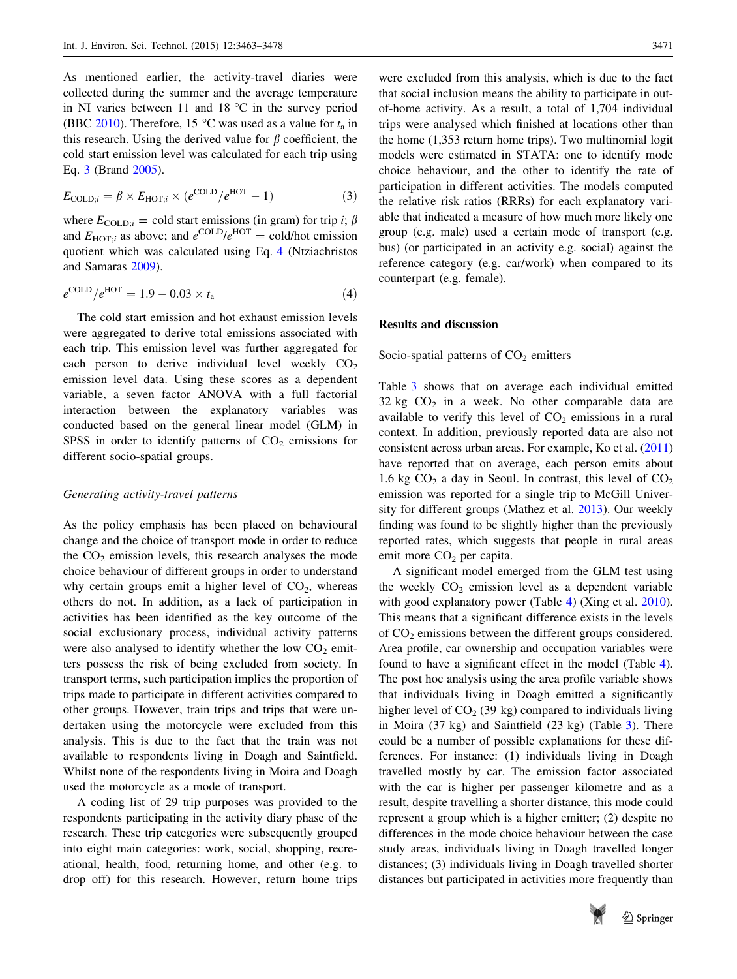<span id="page-8-0"></span>As mentioned earlier, the activity-travel diaries were collected during the summer and the average temperature in NI varies between 11 and 18  $^{\circ}$ C in the survey period (BBC [2010\)](#page-12-0). Therefore, 15 °C was used as a value for  $t_a$  in this research. Using the derived value for  $\beta$  coefficient, the cold start emission level was calculated for each trip using Eq. 3 (Brand [2005](#page-13-0)).

$$
E_{\text{COLD};i} = \beta \times E_{\text{HOT};i} \times (e^{\text{COLD}}/e^{\text{HOT}} - 1)
$$
 (3)

where  $E_{\text{COLD}:i}$  = cold start emissions (in gram) for trip *i*;  $\beta$ and  $E_{\text{HOT}:i}$  as above; and  $e^{\text{COLD}}/e^{\text{HOT}}$  = cold/hot emission quotient which was calculated using Eq. 4 (Ntziachristos and Samaras [2009\)](#page-14-0).

$$
e^{\text{COLD}}/e^{\text{HOT}} = 1.9 - 0.03 \times t_a \tag{4}
$$

The cold start emission and hot exhaust emission levels were aggregated to derive total emissions associated with each trip. This emission level was further aggregated for each person to derive individual level weekly  $CO<sub>2</sub>$ emission level data. Using these scores as a dependent variable, a seven factor ANOVA with a full factorial interaction between the explanatory variables was conducted based on the general linear model (GLM) in SPSS in order to identify patterns of  $CO<sub>2</sub>$  emissions for different socio-spatial groups.

# Generating activity-travel patterns

As the policy emphasis has been placed on behavioural change and the choice of transport mode in order to reduce the  $CO<sub>2</sub>$  emission levels, this research analyses the mode choice behaviour of different groups in order to understand why certain groups emit a higher level of  $CO<sub>2</sub>$ , whereas others do not. In addition, as a lack of participation in activities has been identified as the key outcome of the social exclusionary process, individual activity patterns were also analysed to identify whether the low  $CO<sub>2</sub>$  emitters possess the risk of being excluded from society. In transport terms, such participation implies the proportion of trips made to participate in different activities compared to other groups. However, train trips and trips that were undertaken using the motorcycle were excluded from this analysis. This is due to the fact that the train was not available to respondents living in Doagh and Saintfield. Whilst none of the respondents living in Moira and Doagh used the motorcycle as a mode of transport.

A coding list of 29 trip purposes was provided to the respondents participating in the activity diary phase of the research. These trip categories were subsequently grouped into eight main categories: work, social, shopping, recreational, health, food, returning home, and other (e.g. to drop off) for this research. However, return home trips

were excluded from this analysis, which is due to the fact that social inclusion means the ability to participate in outof-home activity. As a result, a total of 1,704 individual trips were analysed which finished at locations other than the home (1,353 return home trips). Two multinomial logit models were estimated in STATA: one to identify mode choice behaviour, and the other to identify the rate of participation in different activities. The models computed the relative risk ratios (RRRs) for each explanatory variable that indicated a measure of how much more likely one group (e.g. male) used a certain mode of transport (e.g. bus) (or participated in an activity e.g. social) against the reference category (e.g. car/work) when compared to its counterpart (e.g. female).

## Results and discussion

Socio-spatial patterns of  $CO<sub>2</sub>$  emitters

Table [3](#page-9-0) shows that on average each individual emitted 32 kg  $CO<sub>2</sub>$  in a week. No other comparable data are available to verify this level of  $CO<sub>2</sub>$  emissions in a rural context. In addition, previously reported data are also not consistent across urban areas. For example, Ko et al. ([2011\)](#page-14-0) have reported that on average, each person emits about 1.6 kg  $CO<sub>2</sub>$  a day in Seoul. In contrast, this level of  $CO<sub>2</sub>$ emission was reported for a single trip to McGill University for different groups (Mathez et al. [2013](#page-14-0)). Our weekly finding was found to be slightly higher than the previously reported rates, which suggests that people in rural areas emit more  $CO<sub>2</sub>$  per capita.

A significant model emerged from the GLM test using the weekly  $CO<sub>2</sub>$  emission level as a dependent variable with good explanatory power (Table [4\)](#page-9-0) (Xing et al. [2010](#page-15-0)). This means that a significant difference exists in the levels of  $CO<sub>2</sub>$  emissions between the different groups considered. Area profile, car ownership and occupation variables were found to have a significant effect in the model (Table [4](#page-9-0)). The post hoc analysis using the area profile variable shows that individuals living in Doagh emitted a significantly higher level of  $CO<sub>2</sub>$  (39 kg) compared to individuals living in Moira (37 kg) and Saintfield (23 kg) (Table [3\)](#page-9-0). There could be a number of possible explanations for these differences. For instance: (1) individuals living in Doagh travelled mostly by car. The emission factor associated with the car is higher per passenger kilometre and as a result, despite travelling a shorter distance, this mode could represent a group which is a higher emitter; (2) despite no differences in the mode choice behaviour between the case study areas, individuals living in Doagh travelled longer distances; (3) individuals living in Doagh travelled shorter distances but participated in activities more frequently than

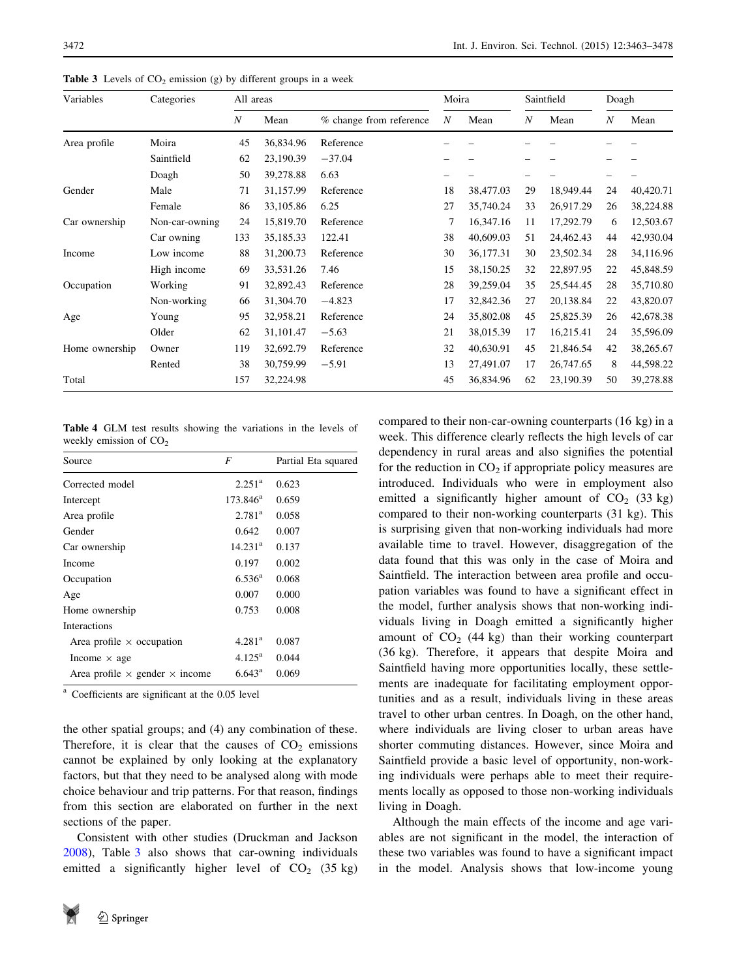| Variables      | Categories     | All areas        |           |                         | Moira            |           | Saintfield       |           | Doagh |           |
|----------------|----------------|------------------|-----------|-------------------------|------------------|-----------|------------------|-----------|-------|-----------|
|                |                | $\boldsymbol{N}$ | Mean      | % change from reference | $\boldsymbol{N}$ | Mean      | $\boldsymbol{N}$ | Mean      | N     | Mean      |
| Area profile   | Moira          | 45               | 36,834.96 | Reference               |                  |           |                  |           |       |           |
|                | Saintfield     | 62               | 23,190.39 | $-37.04$                |                  |           |                  |           |       |           |
|                | Doagh          | 50               | 39,278.88 | 6.63                    |                  |           |                  |           |       |           |
| Gender         | Male           | 71               | 31,157.99 | Reference               | 18               | 38,477.03 | 29               | 18,949.44 | 24    | 40,420.71 |
|                | Female         | 86               | 33,105.86 | 6.25                    | 27               | 35,740.24 | 33               | 26,917.29 | 26    | 38,224.88 |
| Car ownership  | Non-car-owning | 24               | 15,819.70 | Reference               | 7                | 16,347.16 | 11               | 17,292.79 | 6     | 12,503.67 |
|                | Car owning     | 133              | 35,185.33 | 122.41                  | 38               | 40,609.03 | 51               | 24,462.43 | 44    | 42,930.04 |
| Income         | Low income     | 88               | 31,200.73 | Reference               | 30               | 36,177.31 | 30               | 23,502.34 | 28    | 34,116.96 |
|                | High income    | 69               | 33,531.26 | 7.46                    | 15               | 38,150.25 | 32               | 22,897.95 | 22    | 45,848.59 |
| Occupation     | Working        | 91               | 32,892.43 | Reference               | 28               | 39,259.04 | 35               | 25,544.45 | 28    | 35,710.80 |
|                | Non-working    | 66               | 31,304.70 | $-4.823$                | 17               | 32,842.36 | 27               | 20,138.84 | 22    | 43,820.07 |
| Age            | Young          | 95               | 32,958.21 | Reference               | 24               | 35,802.08 | 45               | 25,825.39 | 26    | 42,678.38 |
|                | Older          | 62               | 31,101.47 | $-5.63$                 | 21               | 38,015.39 | 17               | 16,215.41 | 24    | 35,596.09 |
| Home ownership | Owner          | 119              | 32,692.79 | Reference               | 32               | 40,630.91 | 45               | 21,846.54 | 42    | 38,265.67 |
|                | Rented         | 38               | 30,759.99 | $-5.91$                 | 13               | 27,491.07 | 17               | 26,747.65 | 8     | 44,598.22 |
| Total          |                | 157              | 32,224.98 |                         | 45               | 36,834.96 | 62               | 23,190.39 | 50    | 39,278.88 |

<span id="page-9-0"></span>**Table 3** Levels of  $CO<sub>2</sub>$  emission (g) by different groups in a week

Table 4 GLM test results showing the variations in the levels of weekly emission of  $CO<sub>2</sub>$ 

| Source                                       | F                   | Partial Eta squared |
|----------------------------------------------|---------------------|---------------------|
| Corrected model                              | $2.251^{\rm a}$     | 0.623               |
| Intercept                                    | $173.846^{\rm a}$   | 0.659               |
| Area profile                                 | $2.781^{a}$         | 0.058               |
| Gender                                       | 0.642               | 0.007               |
| Car ownership                                | 14.231 <sup>a</sup> | 0.137               |
| Income                                       | 0.197               | 0.002               |
| Occupation                                   | $6.536^{a}$         | 0.068               |
| Age                                          | 0.007               | 0.000               |
| Home ownership                               | 0.753               | 0.008               |
| <b>Interactions</b>                          |                     |                     |
| Area profile $\times$ occupation             | $4.281^{\rm a}$     | 0.087               |
| Income $\times$ age                          | $4.125^{\rm a}$     | 0.044               |
| Area profile $\times$ gender $\times$ income | $6.643^{\rm a}$     | 0.069               |

<sup>a</sup> Coefficients are significant at the 0.05 level

the other spatial groups; and (4) any combination of these. Therefore, it is clear that the causes of  $CO<sub>2</sub>$  emissions cannot be explained by only looking at the explanatory factors, but that they need to be analysed along with mode choice behaviour and trip patterns. For that reason, findings from this section are elaborated on further in the next sections of the paper.

Consistent with other studies (Druckman and Jackson [2008\)](#page-13-0), Table 3 also shows that car-owning individuals emitted a significantly higher level of  $CO<sub>2</sub>$  (35 kg)



compared to their non-car-owning counterparts (16 kg) in a week. This difference clearly reflects the high levels of car dependency in rural areas and also signifies the potential for the reduction in  $CO<sub>2</sub>$  if appropriate policy measures are introduced. Individuals who were in employment also emitted a significantly higher amount of  $CO<sub>2</sub>$  (33 kg) compared to their non-working counterparts (31 kg). This is surprising given that non-working individuals had more available time to travel. However, disaggregation of the data found that this was only in the case of Moira and Saintfield. The interaction between area profile and occupation variables was found to have a significant effect in the model, further analysis shows that non-working individuals living in Doagh emitted a significantly higher amount of  $CO<sub>2</sub>$  (44 kg) than their working counterpart (36 kg). Therefore, it appears that despite Moira and Saintfield having more opportunities locally, these settlements are inadequate for facilitating employment opportunities and as a result, individuals living in these areas travel to other urban centres. In Doagh, on the other hand, where individuals are living closer to urban areas have shorter commuting distances. However, since Moira and Saintfield provide a basic level of opportunity, non-working individuals were perhaps able to meet their requirements locally as opposed to those non-working individuals living in Doagh.

Although the main effects of the income and age variables are not significant in the model, the interaction of these two variables was found to have a significant impact in the model. Analysis shows that low-income young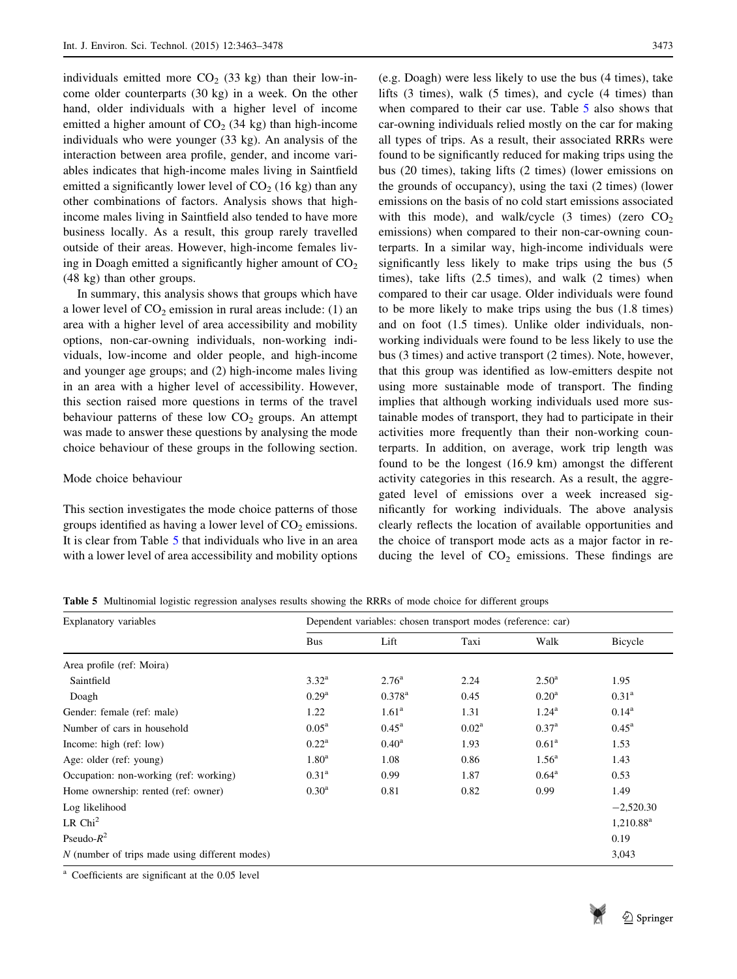individuals emitted more  $CO<sub>2</sub>$  (33 kg) than their low-income older counterparts (30 kg) in a week. On the other hand, older individuals with a higher level of income emitted a higher amount of  $CO<sub>2</sub>$  (34 kg) than high-income individuals who were younger (33 kg). An analysis of the interaction between area profile, gender, and income variables indicates that high-income males living in Saintfield emitted a significantly lower level of  $CO<sub>2</sub>$  (16 kg) than any other combinations of factors. Analysis shows that highincome males living in Saintfield also tended to have more business locally. As a result, this group rarely travelled outside of their areas. However, high-income females living in Doagh emitted a significantly higher amount of  $CO<sub>2</sub>$ (48 kg) than other groups.

In summary, this analysis shows that groups which have a lower level of  $CO<sub>2</sub>$  emission in rural areas include: (1) an area with a higher level of area accessibility and mobility options, non-car-owning individuals, non-working individuals, low-income and older people, and high-income and younger age groups; and (2) high-income males living in an area with a higher level of accessibility. However, this section raised more questions in terms of the travel behaviour patterns of these low  $CO<sub>2</sub>$  groups. An attempt was made to answer these questions by analysing the mode choice behaviour of these groups in the following section.

### Mode choice behaviour

This section investigates the mode choice patterns of those groups identified as having a lower level of  $CO<sub>2</sub>$  emissions. It is clear from Table 5 that individuals who live in an area with a lower level of area accessibility and mobility options (e.g. Doagh) were less likely to use the bus (4 times), take lifts (3 times), walk (5 times), and cycle (4 times) than when compared to their car use. Table 5 also shows that car-owning individuals relied mostly on the car for making all types of trips. As a result, their associated RRRs were found to be significantly reduced for making trips using the bus (20 times), taking lifts (2 times) (lower emissions on the grounds of occupancy), using the taxi (2 times) (lower emissions on the basis of no cold start emissions associated with this mode), and walk/cycle  $(3 \text{ times})$  (zero  $CO<sub>2</sub>$ ) emissions) when compared to their non-car-owning counterparts. In a similar way, high-income individuals were significantly less likely to make trips using the bus  $(5)$ times), take lifts (2.5 times), and walk (2 times) when compared to their car usage. Older individuals were found to be more likely to make trips using the bus (1.8 times) and on foot (1.5 times). Unlike older individuals, nonworking individuals were found to be less likely to use the bus (3 times) and active transport (2 times). Note, however, that this group was identified as low-emitters despite not using more sustainable mode of transport. The finding implies that although working individuals used more sustainable modes of transport, they had to participate in their activities more frequently than their non-working counterparts. In addition, on average, work trip length was found to be the longest (16.9 km) amongst the different activity categories in this research. As a result, the aggregated level of emissions over a week increased significantly for working individuals. The above analysis clearly reflects the location of available opportunities and the choice of transport mode acts as a major factor in reducing the level of  $CO<sub>2</sub>$  emissions. These findings are

Table 5 Multinomial logistic regression analyses results showing the RRRs of mode choice for different groups

| Explanatory variables                            | Dependent variables: chosen transport modes (reference: car) |                   |                |                   |                   |  |  |  |
|--------------------------------------------------|--------------------------------------------------------------|-------------------|----------------|-------------------|-------------------|--|--|--|
|                                                  | <b>Bus</b>                                                   | Lift              | Taxi           | Walk              | Bicycle           |  |  |  |
| Area profile (ref: Moira)                        |                                                              |                   |                |                   |                   |  |  |  |
| Saintfield                                       | $3.32^{\rm a}$                                               | $2.76^{\rm a}$    | 2.24           | $2.50^{\rm a}$    | 1.95              |  |  |  |
| Doagh                                            | $0.29^{\rm a}$                                               | $0.378^{a}$       | 0.45           | 0.20 <sup>a</sup> | 0.31 <sup>a</sup> |  |  |  |
| Gender: female (ref: male)                       | 1.22                                                         | 1.61 <sup>a</sup> | 1.31           | $1.24^{\rm a}$    | $0.14^{\rm a}$    |  |  |  |
| Number of cars in household                      | $0.05^{\rm a}$                                               | $0.45^{\rm a}$    | $0.02^{\rm a}$ | $0.37^{\rm a}$    | $0.45^{\rm a}$    |  |  |  |
| Income: high (ref: low)                          | $0.22^{\rm a}$                                               | $0.40^{\rm a}$    | 1.93           | $0.61^{\rm a}$    | 1.53              |  |  |  |
| Age: older (ref: young)                          | 1.80 <sup>a</sup>                                            | 1.08              | 0.86           | $1.56^{\rm a}$    | 1.43              |  |  |  |
| Occupation: non-working (ref: working)           | 0.31 <sup>a</sup>                                            | 0.99              | 1.87           | $0.64^{\rm a}$    | 0.53              |  |  |  |
| Home ownership: rented (ref: owner)              | $0.30^{\rm a}$                                               | 0.81              | 0.82           | 0.99              | 1.49              |  |  |  |
| Log likelihood                                   |                                                              |                   |                |                   | $-2,520.30$       |  |  |  |
| LR Chi <sup>2</sup>                              |                                                              |                   |                |                   | $1,210.88^a$      |  |  |  |
| Pseudo- $R^2$                                    |                                                              |                   |                |                   | 0.19              |  |  |  |
| $N$ (number of trips made using different modes) |                                                              |                   |                |                   | 3,043             |  |  |  |

<sup>a</sup> Coefficients are significant at the 0.05 level

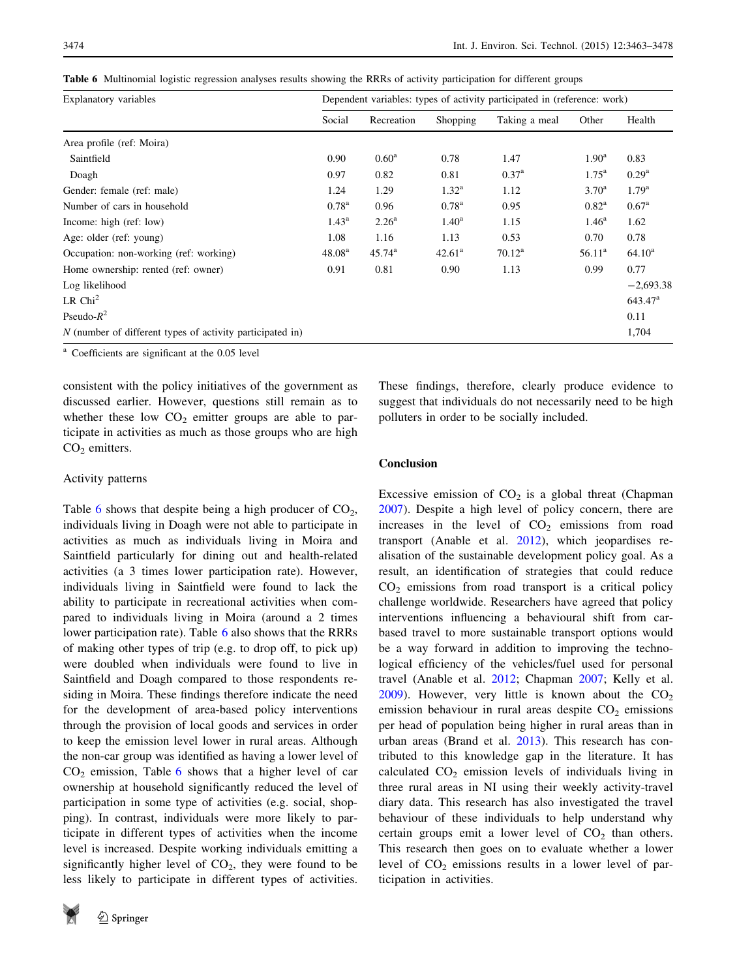| Explanatory variables                                       | Dependent variables: types of activity participated in (reference: work) |                   |                 |                   |                 |                     |  |  |
|-------------------------------------------------------------|--------------------------------------------------------------------------|-------------------|-----------------|-------------------|-----------------|---------------------|--|--|
|                                                             | Social<br>Recreation<br>Shopping                                         |                   | Taking a meal   | Other             | Health          |                     |  |  |
| Area profile (ref: Moira)                                   |                                                                          |                   |                 |                   |                 |                     |  |  |
| Saintfield                                                  | 0.90                                                                     | 0.60 <sup>a</sup> | 0.78            | 1.47              | $1.90^{\rm a}$  | 0.83                |  |  |
| Doagh                                                       | 0.97                                                                     | 0.82              | 0.81            | 0.37 <sup>a</sup> | $1.75^{\rm a}$  | $0.29^{\rm a}$      |  |  |
| Gender: female (ref: male)                                  | 1.24                                                                     | 1.29              | $1.32^{\rm a}$  | 1.12              | $3.70^{\rm a}$  | $1.79^{\rm a}$      |  |  |
| Number of cars in household                                 | 0.78 <sup>a</sup>                                                        | 0.96              | $0.78^{\rm a}$  | 0.95              | $0.82^{\rm a}$  | $0.67^{\rm a}$      |  |  |
| Income: high (ref: low)                                     | $1.43^{\rm a}$                                                           | 2.26 <sup>a</sup> | $1.40^{\rm a}$  | 1.15              | $1.46^{\rm a}$  | 1.62                |  |  |
| Age: older (ref: young)                                     | 1.08                                                                     | 1.16              | 1.13            | 0.53              | 0.70            | 0.78                |  |  |
| Occupation: non-working (ref: working)                      | 48.08 <sup>a</sup>                                                       | $45.74^{\rm a}$   | $42.61^{\rm a}$ | $70.12^a$         | $56.11^{\rm a}$ | $64.10^a$           |  |  |
| Home ownership: rented (ref: owner)                         | 0.91                                                                     | 0.81              | 0.90            | 1.13              | 0.99            | 0.77                |  |  |
| Log likelihood                                              |                                                                          |                   |                 |                   |                 | $-2,693.38$         |  |  |
| LR Chi <sup>2</sup>                                         |                                                                          |                   |                 |                   |                 | 643.47 <sup>a</sup> |  |  |
| Pseudo- $R^2$                                               |                                                                          |                   |                 |                   |                 | 0.11                |  |  |
| $N$ (number of different types of activity participated in) |                                                                          |                   |                 |                   |                 | 1,704               |  |  |

<span id="page-11-0"></span>Table 6 Multinomial logistic regression analyses results showing the RRRs of activity participation for different groups

<sup>a</sup> Coefficients are significant at the 0.05 level

consistent with the policy initiatives of the government as discussed earlier. However, questions still remain as to whether these low  $CO<sub>2</sub>$  emitter groups are able to participate in activities as much as those groups who are high  $CO<sub>2</sub>$  emitters.

# Activity patterns

Table 6 shows that despite being a high producer of  $CO<sub>2</sub>$ , individuals living in Doagh were not able to participate in activities as much as individuals living in Moira and Saintfield particularly for dining out and health-related activities (a 3 times lower participation rate). However, individuals living in Saintfield were found to lack the ability to participate in recreational activities when compared to individuals living in Moira (around a 2 times lower participation rate). Table 6 also shows that the RRRs of making other types of trip (e.g. to drop off, to pick up) were doubled when individuals were found to live in Saintfield and Doagh compared to those respondents residing in Moira. These findings therefore indicate the need for the development of area-based policy interventions through the provision of local goods and services in order to keep the emission level lower in rural areas. Although the non-car group was identified as having a lower level of  $CO<sub>2</sub>$  emission, Table 6 shows that a higher level of car ownership at household significantly reduced the level of participation in some type of activities (e.g. social, shopping). In contrast, individuals were more likely to participate in different types of activities when the income level is increased. Despite working individuals emitting a significantly higher level of  $CO<sub>2</sub>$ , they were found to be less likely to participate in different types of activities.



These findings, therefore, clearly produce evidence to suggest that individuals do not necessarily need to be high polluters in order to be socially included.

# Conclusion

Excessive emission of  $CO<sub>2</sub>$  is a global threat (Chapman [2007](#page-13-0)). Despite a high level of policy concern, there are increases in the level of  $CO<sub>2</sub>$  emissions from road transport (Anable et al. [2012\)](#page-12-0), which jeopardises realisation of the sustainable development policy goal. As a result, an identification of strategies that could reduce  $CO<sub>2</sub>$  emissions from road transport is a critical policy challenge worldwide. Researchers have agreed that policy interventions influencing a behavioural shift from carbased travel to more sustainable transport options would be a way forward in addition to improving the technological efficiency of the vehicles/fuel used for personal travel (Anable et al. [2012](#page-12-0); Chapman [2007;](#page-13-0) Kelly et al. [2009](#page-14-0)). However, very little is known about the  $CO<sub>2</sub>$ emission behaviour in rural areas despite  $CO<sub>2</sub>$  emissions per head of population being higher in rural areas than in urban areas (Brand et al. [2013\)](#page-13-0). This research has contributed to this knowledge gap in the literature. It has calculated  $CO<sub>2</sub>$  emission levels of individuals living in three rural areas in NI using their weekly activity-travel diary data. This research has also investigated the travel behaviour of these individuals to help understand why certain groups emit a lower level of  $CO<sub>2</sub>$  than others. This research then goes on to evaluate whether a lower level of  $CO<sub>2</sub>$  emissions results in a lower level of participation in activities.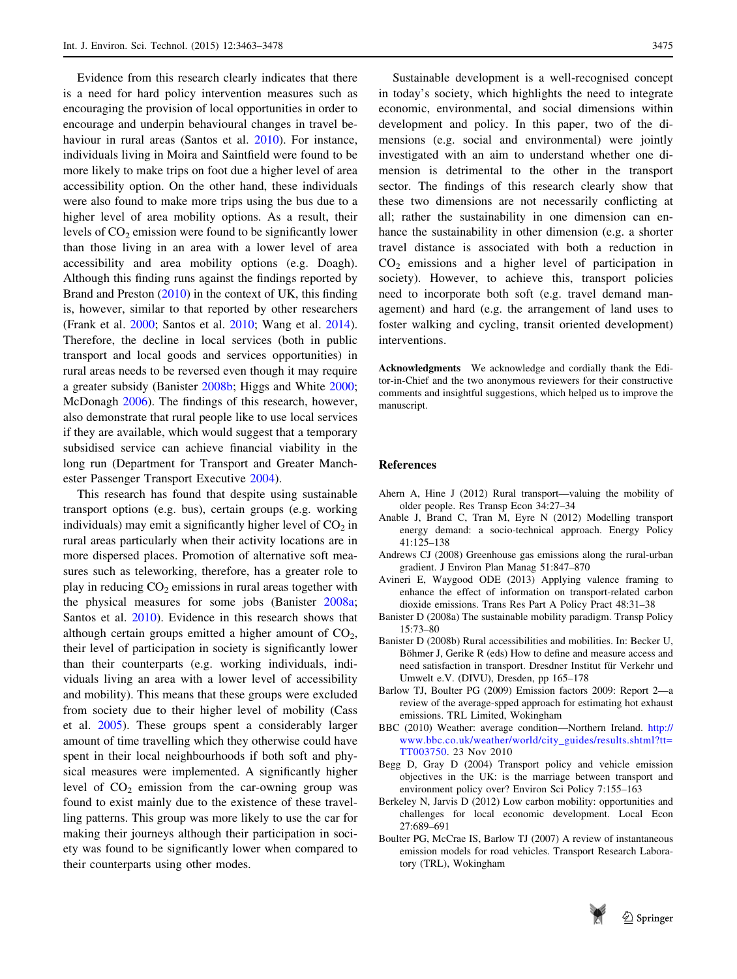<span id="page-12-0"></span>Evidence from this research clearly indicates that there is a need for hard policy intervention measures such as encouraging the provision of local opportunities in order to encourage and underpin behavioural changes in travel behaviour in rural areas (Santos et al. [2010\)](#page-14-0). For instance, individuals living in Moira and Saintfield were found to be more likely to make trips on foot due a higher level of area accessibility option. On the other hand, these individuals were also found to make more trips using the bus due to a higher level of area mobility options. As a result, their levels of  $CO<sub>2</sub>$  emission were found to be significantly lower than those living in an area with a lower level of area accessibility and area mobility options (e.g. Doagh). Although this finding runs against the findings reported by Brand and Preston ([2010\)](#page-13-0) in the context of UK, this finding is, however, similar to that reported by other researchers (Frank et al. [2000](#page-13-0); Santos et al. [2010;](#page-14-0) Wang et al. [2014](#page-14-0)). Therefore, the decline in local services (both in public transport and local goods and services opportunities) in rural areas needs to be reversed even though it may require a greater subsidy (Banister 2008b; Higgs and White [2000](#page-13-0); McDonagh [2006](#page-14-0)). The findings of this research, however, also demonstrate that rural people like to use local services if they are available, which would suggest that a temporary subsidised service can achieve financial viability in the long run (Department for Transport and Greater Manchester Passenger Transport Executive [2004](#page-13-0)).

This research has found that despite using sustainable transport options (e.g. bus), certain groups (e.g. working individuals) may emit a significantly higher level of  $CO<sub>2</sub>$  in rural areas particularly when their activity locations are in more dispersed places. Promotion of alternative soft measures such as teleworking, therefore, has a greater role to play in reducing  $CO<sub>2</sub>$  emissions in rural areas together with the physical measures for some jobs (Banister 2008a; Santos et al. [2010\)](#page-14-0). Evidence in this research shows that although certain groups emitted a higher amount of  $CO<sub>2</sub>$ , their level of participation in society is significantly lower than their counterparts (e.g. working individuals, individuals living an area with a lower level of accessibility and mobility). This means that these groups were excluded from society due to their higher level of mobility (Cass et al. [2005](#page-13-0)). These groups spent a considerably larger amount of time travelling which they otherwise could have spent in their local neighbourhoods if both soft and physical measures were implemented. A significantly higher level of  $CO<sub>2</sub>$  emission from the car-owning group was found to exist mainly due to the existence of these travelling patterns. This group was more likely to use the car for making their journeys although their participation in society was found to be significantly lower when compared to their counterparts using other modes.

Sustainable development is a well-recognised concept in today's society, which highlights the need to integrate economic, environmental, and social dimensions within development and policy. In this paper, two of the dimensions (e.g. social and environmental) were jointly investigated with an aim to understand whether one dimension is detrimental to the other in the transport sector. The findings of this research clearly show that these two dimensions are not necessarily conflicting at all; rather the sustainability in one dimension can enhance the sustainability in other dimension (e.g. a shorter travel distance is associated with both a reduction in  $CO<sub>2</sub>$  emissions and a higher level of participation in society). However, to achieve this, transport policies need to incorporate both soft (e.g. travel demand management) and hard (e.g. the arrangement of land uses to foster walking and cycling, transit oriented development) interventions.

Acknowledgments We acknowledge and cordially thank the Editor-in-Chief and the two anonymous reviewers for their constructive comments and insightful suggestions, which helped us to improve the manuscript.

#### References

- Ahern A, Hine J (2012) Rural transport—valuing the mobility of older people. Res Transp Econ 34:27–34
- Anable J, Brand C, Tran M, Eyre N (2012) Modelling transport energy demand: a socio-technical approach. Energy Policy 41:125–138
- Andrews CJ (2008) Greenhouse gas emissions along the rural-urban gradient. J Environ Plan Manag 51:847–870
- Avineri E, Waygood ODE (2013) Applying valence framing to enhance the effect of information on transport-related carbon dioxide emissions. Trans Res Part A Policy Pract 48:31–38
- Banister D (2008a) The sustainable mobility paradigm. Transp Policy 15:73–80
- Banister D (2008b) Rural accessibilities and mobilities. In: Becker U, Böhmer J, Gerike R (eds) How to define and measure access and need satisfaction in transport. Dresdner Institut für Verkehr und Umwelt e.V. (DIVU), Dresden, pp 165–178
- Barlow TJ, Boulter PG (2009) Emission factors 2009: Report 2—a review of the average-spped approach for estimating hot exhaust emissions. TRL Limited, Wokingham
- BBC (2010) Weather: average condition—Northern Ireland. [http://](http://www.bbc.co.uk/weather/world/city_guides/results.shtml?tt=TT003750) [www.bbc.co.uk/weather/world/city\\_guides/results.shtml?tt=](http://www.bbc.co.uk/weather/world/city_guides/results.shtml?tt=TT003750) [TT003750](http://www.bbc.co.uk/weather/world/city_guides/results.shtml?tt=TT003750). 23 Nov 2010
- Begg D, Gray D (2004) Transport policy and vehicle emission objectives in the UK: is the marriage between transport and environment policy over? Environ Sci Policy 7:155–163
- Berkeley N, Jarvis D (2012) Low carbon mobility: opportunities and challenges for local economic development. Local Econ 27:689–691
- Boulter PG, McCrae IS, Barlow TJ (2007) A review of instantaneous emission models for road vehicles. Transport Research Laboratory (TRL), Wokingham

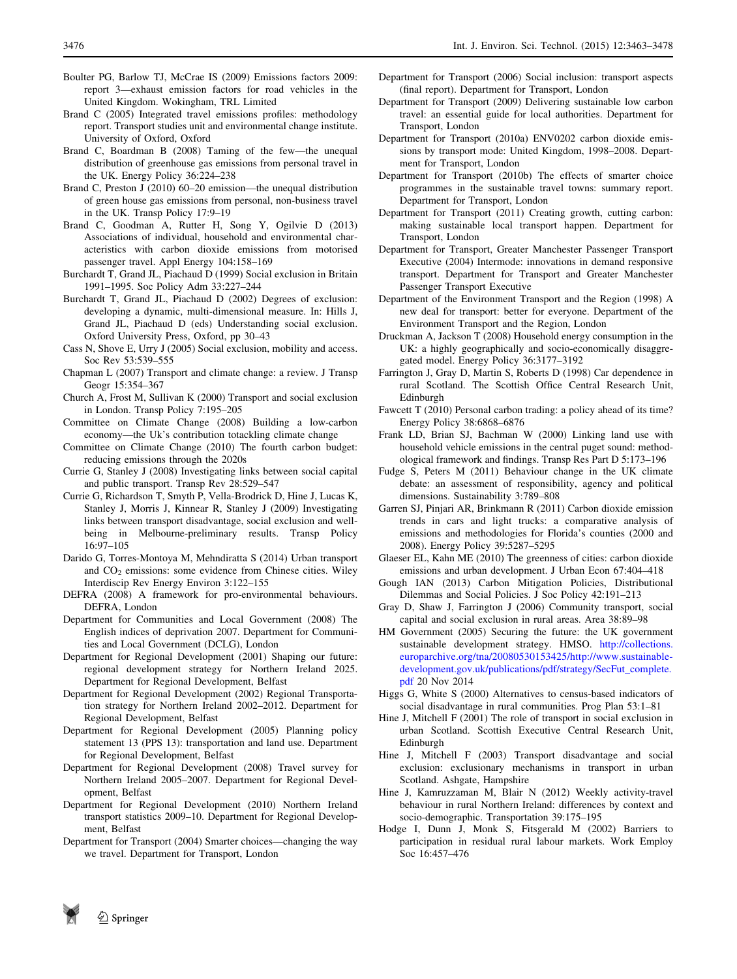- Boulter PG, Barlow TJ, McCrae IS (2009) Emissions factors 2009: report 3—exhaust emission factors for road vehicles in the United Kingdom. Wokingham, TRL Limited
- Brand C (2005) Integrated travel emissions profiles: methodology report. Transport studies unit and environmental change institute. University of Oxford, Oxford
- Brand C, Boardman B (2008) Taming of the few—the unequal distribution of greenhouse gas emissions from personal travel in the UK. Energy Policy 36:224–238
- Brand C, Preston J (2010) 60–20 emission—the unequal distribution of green house gas emissions from personal, non-business travel in the UK. Transp Policy 17:9–19
- Brand C, Goodman A, Rutter H, Song Y, Ogilvie D (2013) Associations of individual, household and environmental characteristics with carbon dioxide emissions from motorised passenger travel. Appl Energy 104:158–169
- Burchardt T, Grand JL, Piachaud D (1999) Social exclusion in Britain 1991–1995. Soc Policy Adm 33:227–244
- Burchardt T, Grand JL, Piachaud D (2002) Degrees of exclusion: developing a dynamic, multi-dimensional measure. In: Hills J, Grand JL, Piachaud D (eds) Understanding social exclusion. Oxford University Press, Oxford, pp 30–43
- Cass N, Shove E, Urry J (2005) Social exclusion, mobility and access. Soc Rev 53:539–555
- Chapman L (2007) Transport and climate change: a review. J Transp Geogr 15:354–367
- Church A, Frost M, Sullivan K (2000) Transport and social exclusion in London. Transp Policy 7:195–205
- Committee on Climate Change (2008) Building a low-carbon economy—the Uk's contribution totackling climate change
- Committee on Climate Change (2010) The fourth carbon budget: reducing emissions through the 2020s
- Currie G, Stanley J (2008) Investigating links between social capital and public transport. Transp Rev 28:529–547
- Currie G, Richardson T, Smyth P, Vella-Brodrick D, Hine J, Lucas K, Stanley J, Morris J, Kinnear R, Stanley J (2009) Investigating links between transport disadvantage, social exclusion and wellbeing in Melbourne-preliminary results. Transp Policy 16:97–105
- Darido G, Torres-Montoya M, Mehndiratta S (2014) Urban transport and  $CO<sub>2</sub>$  emissions: some evidence from Chinese cities. Wiley Interdiscip Rev Energy Environ 3:122–155
- DEFRA (2008) A framework for pro-environmental behaviours. DEFRA, London
- Department for Communities and Local Government (2008) The English indices of deprivation 2007. Department for Communities and Local Government (DCLG), London
- Department for Regional Development (2001) Shaping our future: regional development strategy for Northern Ireland 2025. Department for Regional Development, Belfast
- Department for Regional Development (2002) Regional Transportation strategy for Northern Ireland 2002–2012. Department for Regional Development, Belfast
- Department for Regional Development (2005) Planning policy statement 13 (PPS 13): transportation and land use. Department for Regional Development, Belfast
- Department for Regional Development (2008) Travel survey for Northern Ireland 2005–2007. Department for Regional Development, Belfast
- Department for Regional Development (2010) Northern Ireland transport statistics 2009–10. Department for Regional Development, Belfast
- Department for Transport (2004) Smarter choices—changing the way we travel. Department for Transport, London
- Department for Transport (2006) Social inclusion: transport aspects (final report). Department for Transport, London
- Department for Transport (2009) Delivering sustainable low carbon travel: an essential guide for local authorities. Department for Transport, London
- Department for Transport (2010a) ENV0202 carbon dioxide emissions by transport mode: United Kingdom, 1998–2008. Department for Transport, London
- Department for Transport (2010b) The effects of smarter choice programmes in the sustainable travel towns: summary report. Department for Transport, London
- Department for Transport (2011) Creating growth, cutting carbon: making sustainable local transport happen. Department for Transport, London
- Department for Transport, Greater Manchester Passenger Transport Executive (2004) Intermode: innovations in demand responsive transport. Department for Transport and Greater Manchester Passenger Transport Executive
- Department of the Environment Transport and the Region (1998) A new deal for transport: better for everyone. Department of the Environment Transport and the Region, London
- Druckman A, Jackson T (2008) Household energy consumption in the UK: a highly geographically and socio-economically disaggregated model. Energy Policy 36:3177–3192
- Farrington J, Gray D, Martin S, Roberts D (1998) Car dependence in rural Scotland. The Scottish Office Central Research Unit, Edinburgh
- Fawcett T (2010) Personal carbon trading: a policy ahead of its time? Energy Policy 38:6868–6876
- Frank LD, Brian SJ, Bachman W (2000) Linking land use with household vehicle emissions in the central puget sound: methodological framework and findings. Transp Res Part D 5:173–196
- Fudge S, Peters M (2011) Behaviour change in the UK climate debate: an assessment of responsibility, agency and political dimensions. Sustainability 3:789–808
- Garren SJ, Pinjari AR, Brinkmann R (2011) Carbon dioxide emission trends in cars and light trucks: a comparative analysis of emissions and methodologies for Florida's counties (2000 and 2008). Energy Policy 39:5287–5295
- Glaeser EL, Kahn ME (2010) The greenness of cities: carbon dioxide emissions and urban development. J Urban Econ 67:404–418
- Gough IAN (2013) Carbon Mitigation Policies, Distributional Dilemmas and Social Policies. J Soc Policy 42:191–213
- Gray D, Shaw J, Farrington J (2006) Community transport, social capital and social exclusion in rural areas. Area 38:89–98
- HM Government (2005) Securing the future: the UK government sustainable development strategy. HMSO. [http://collections.](http://collections.europarchive.org/tna/20080530153425/http://www.sustainable-development.gov.uk/publications/pdf/strategy/SecFut_complete.pdf) [europarchive.org/tna/20080530153425/http://www.sustainable](http://collections.europarchive.org/tna/20080530153425/http://www.sustainable-development.gov.uk/publications/pdf/strategy/SecFut_complete.pdf)[development.gov.uk/publications/pdf/strategy/SecFut\\_complete.](http://collections.europarchive.org/tna/20080530153425/http://www.sustainable-development.gov.uk/publications/pdf/strategy/SecFut_complete.pdf) [pdf](http://collections.europarchive.org/tna/20080530153425/http://www.sustainable-development.gov.uk/publications/pdf/strategy/SecFut_complete.pdf) 20 Nov 2014
- Higgs G, White S (2000) Alternatives to census-based indicators of social disadvantage in rural communities. Prog Plan 53:1–81
- Hine J, Mitchell F (2001) The role of transport in social exclusion in urban Scotland. Scottish Executive Central Research Unit, Edinburgh
- Hine J, Mitchell F (2003) Transport disadvantage and social exclusion: exclusionary mechanisms in transport in urban Scotland. Ashgate, Hampshire
- Hine J, Kamruzzaman M, Blair N (2012) Weekly activity-travel behaviour in rural Northern Ireland: differences by context and socio-demographic. Transportation 39:175–195
- Hodge I, Dunn J, Monk S, Fitsgerald M (2002) Barriers to participation in residual rural labour markets. Work Employ Soc 16:457–476

<span id="page-13-0"></span>

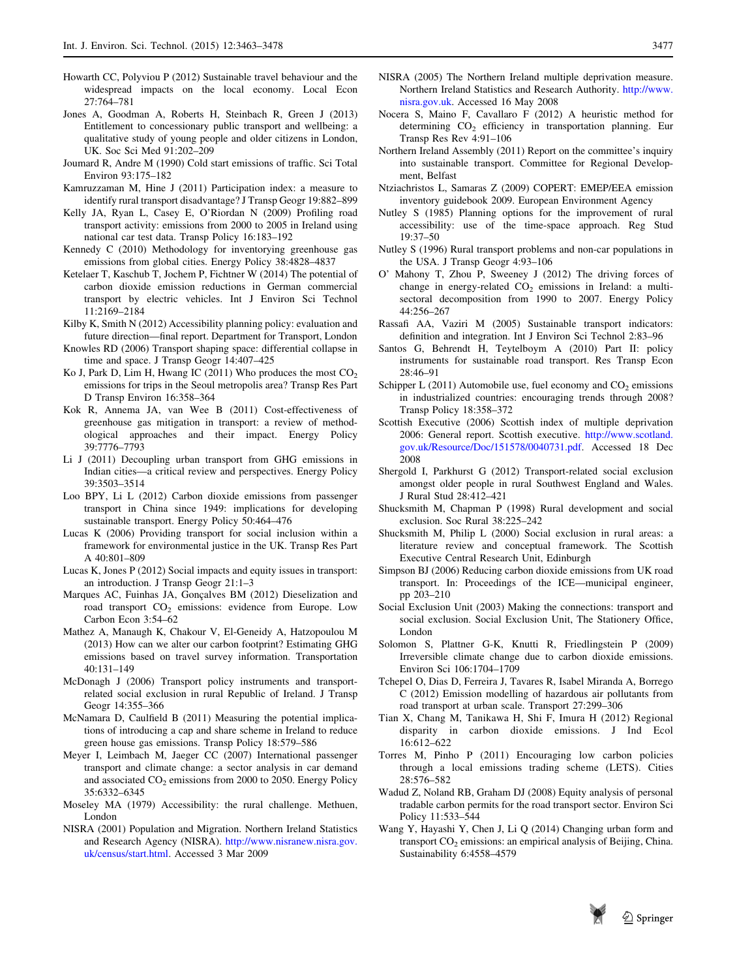- <span id="page-14-0"></span>Howarth CC, Polyviou P (2012) Sustainable travel behaviour and the widespread impacts on the local economy. Local Econ 27:764–781
- Jones A, Goodman A, Roberts H, Steinbach R, Green J (2013) Entitlement to concessionary public transport and wellbeing: a qualitative study of young people and older citizens in London, UK. Soc Sci Med 91:202–209
- Joumard R, Andre M (1990) Cold start emissions of traffic. Sci Total Environ 93:175–182
- Kamruzzaman M, Hine J (2011) Participation index: a measure to identify rural transport disadvantage? J Transp Geogr 19:882–899
- Kelly JA, Ryan L, Casey E, O'Riordan N (2009) Profiling road transport activity: emissions from 2000 to 2005 in Ireland using national car test data. Transp Policy 16:183–192
- Kennedy C (2010) Methodology for inventorying greenhouse gas emissions from global cities. Energy Policy 38:4828–4837
- Ketelaer T, Kaschub T, Jochem P, Fichtner W (2014) The potential of carbon dioxide emission reductions in German commercial transport by electric vehicles. Int J Environ Sci Technol 11:2169–2184
- Kilby K, Smith N (2012) Accessibility planning policy: evaluation and future direction—final report. Department for Transport, London
- Knowles RD (2006) Transport shaping space: differential collapse in time and space. J Transp Geogr 14:407–425
- Ko J, Park D, Lim H, Hwang IC (2011) Who produces the most  $CO<sub>2</sub>$ emissions for trips in the Seoul metropolis area? Transp Res Part D Transp Environ 16:358–364
- Kok R, Annema JA, van Wee B (2011) Cost-effectiveness of greenhouse gas mitigation in transport: a review of methodological approaches and their impact. Energy Policy 39:7776–7793
- Li J (2011) Decoupling urban transport from GHG emissions in Indian cities—a critical review and perspectives. Energy Policy 39:3503–3514
- Loo BPY, Li L (2012) Carbon dioxide emissions from passenger transport in China since 1949: implications for developing sustainable transport. Energy Policy 50:464–476
- Lucas K (2006) Providing transport for social inclusion within a framework for environmental justice in the UK. Transp Res Part A 40:801–809
- Lucas K, Jones P (2012) Social impacts and equity issues in transport: an introduction. J Transp Geogr 21:1–3
- Marques AC, Fuinhas JA, Gonçalves BM (2012) Dieselization and road transport CO<sub>2</sub> emissions: evidence from Europe. Low Carbon Econ 3:54–62
- Mathez A, Manaugh K, Chakour V, El-Geneidy A, Hatzopoulou M (2013) How can we alter our carbon footprint? Estimating GHG emissions based on travel survey information. Transportation 40:131–149
- McDonagh J (2006) Transport policy instruments and transportrelated social exclusion in rural Republic of Ireland. J Transp Geogr 14:355–366
- McNamara D, Caulfield B (2011) Measuring the potential implications of introducing a cap and share scheme in Ireland to reduce green house gas emissions. Transp Policy 18:579–586
- Meyer I, Leimbach M, Jaeger CC (2007) International passenger transport and climate change: a sector analysis in car demand and associated  $CO<sub>2</sub>$  emissions from 2000 to 2050. Energy Policy 35:6332–6345
- Moseley MA (1979) Accessibility: the rural challenge. Methuen, London
- NISRA (2001) Population and Migration. Northern Ireland Statistics and Research Agency (NISRA). [http://www.nisranew.nisra.gov.](http://www.nisranew.nisra.gov.uk/census/start.html) [uk/census/start.html](http://www.nisranew.nisra.gov.uk/census/start.html). Accessed 3 Mar 2009
- NISRA (2005) The Northern Ireland multiple deprivation measure. Northern Ireland Statistics and Research Authority. [http://www.](http://www.nisra.gov.uk) [nisra.gov.uk](http://www.nisra.gov.uk). Accessed 16 May 2008
- Nocera S, Maino F, Cavallaro F (2012) A heuristic method for determining CO<sub>2</sub> efficiency in transportation planning. Eur Transp Res Rev 4:91–106
- Northern Ireland Assembly (2011) Report on the committee's inquiry into sustainable transport. Committee for Regional Development, Belfast
- Ntziachristos L, Samaras Z (2009) COPERT: EMEP/EEA emission inventory guidebook 2009. European Environment Agency
- Nutley S (1985) Planning options for the improvement of rural accessibility: use of the time-space approach. Reg Stud 19:37–50
- Nutley S (1996) Rural transport problems and non-car populations in the USA. J Transp Geogr 4:93–106
- O' Mahony T, Zhou P, Sweeney J (2012) The driving forces of change in energy-related  $CO<sub>2</sub>$  emissions in Ireland: a multisectoral decomposition from 1990 to 2007. Energy Policy 44:256–267
- Rassafi AA, Vaziri M (2005) Sustainable transport indicators: definition and integration. Int J Environ Sci Technol 2:83–96
- Santos G, Behrendt H, Teytelboym A (2010) Part II: policy instruments for sustainable road transport. Res Transp Econ 28:46–91
- Schipper L (2011) Automobile use, fuel economy and  $CO<sub>2</sub>$  emissions in industrialized countries: encouraging trends through 2008? Transp Policy 18:358–372
- Scottish Executive (2006) Scottish index of multiple deprivation 2006: General report. Scottish executive. [http://www.scotland.](http://www.scotland.gov.uk/Resource/Doc/151578/0040731.pdf) [gov.uk/Resource/Doc/151578/0040731.pdf](http://www.scotland.gov.uk/Resource/Doc/151578/0040731.pdf). Accessed 18 Dec 2008
- Shergold I, Parkhurst G (2012) Transport-related social exclusion amongst older people in rural Southwest England and Wales. J Rural Stud 28:412–421
- Shucksmith M, Chapman P (1998) Rural development and social exclusion. Soc Rural 38:225–242
- Shucksmith M, Philip L (2000) Social exclusion in rural areas: a literature review and conceptual framework. The Scottish Executive Central Research Unit, Edinburgh
- Simpson BJ (2006) Reducing carbon dioxide emissions from UK road transport. In: Proceedings of the ICE—municipal engineer, pp 203–210
- Social Exclusion Unit (2003) Making the connections: transport and social exclusion. Social Exclusion Unit, The Stationery Office, London
- Solomon S, Plattner G-K, Knutti R, Friedlingstein P (2009) Irreversible climate change due to carbon dioxide emissions. Environ Sci 106:1704–1709
- Tchepel O, Dias D, Ferreira J, Tavares R, Isabel Miranda A, Borrego C (2012) Emission modelling of hazardous air pollutants from road transport at urban scale. Transport 27:299–306
- Tian X, Chang M, Tanikawa H, Shi F, Imura H (2012) Regional disparity in carbon dioxide emissions. J Ind Ecol 16:612–622
- Torres M, Pinho P (2011) Encouraging low carbon policies through a local emissions trading scheme (LETS). Cities 28:576–582
- Wadud Z, Noland RB, Graham DJ (2008) Equity analysis of personal tradable carbon permits for the road transport sector. Environ Sci Policy 11:533–544
- Wang Y, Hayashi Y, Chen J, Li Q (2014) Changing urban form and transport  $CO<sub>2</sub>$  emissions: an empirical analysis of Beijing, China. Sustainability 6:4558–4579